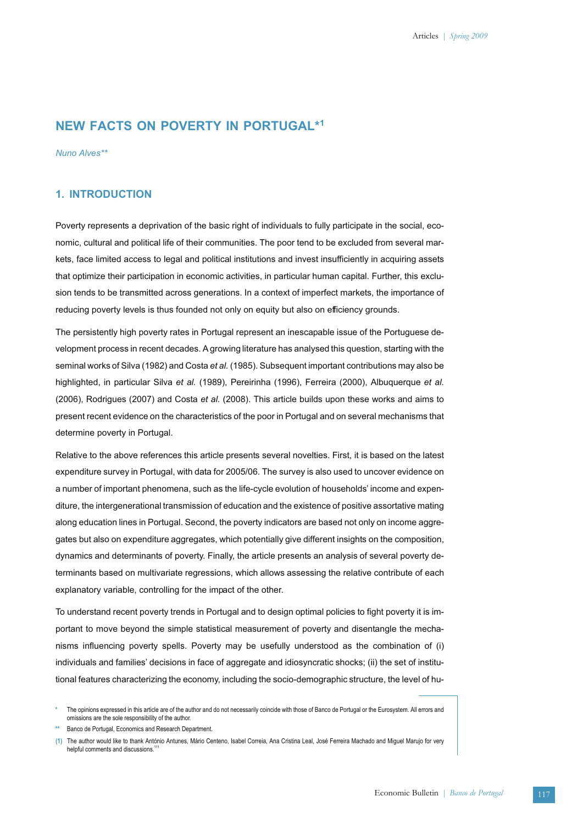# **NEW FACTS ON POVERTY IN PORTUGAL\*1**

*Nuno Alves\*\**

## **1. INTRODUCTION**

Poverty represents a deprivation of the basic right of individuals to fully participate in the social, economic, cultural and political life of their communities. The poor tend to be excluded from several markets, face limited access to legal and political institutions and invest insufficiently in acquiring assets that optimize their participation in economic activities, in particular human capital. Further, this exclusion tends to be transmitted across generations. In a context of imperfect markets, the importance of reducing poverty levels is thus founded not only on equity but also on efficiency grounds.

The persistently high poverty rates in Portugal represent an inescapable issue of the Portuguese development process in recent decades. A growing literature has analysed this question, starting with the seminal works of Silva (1982) and Costa *et al.* (1985). Subsequent important contributions may also be highlighted, in particular Silva *et al.* (1989), Pereirinha (1996), Ferreira (2000), Albuquerque *et al.* (2006), Rodrigues (2007) and Costa *et al.* (2008). This article builds upon these works and aims to present recent evidence on the characteristics of the poor in Portugal and on several mechanisms that determine poverty in Portugal.

Relative to the above references this article presents several novelties. First, it is based on the latest expenditure survey in Portugal, with data for 2005/06. The survey is also used to uncover evidence on a number of important phenomena, such as the life-cycle evolution of households' income and expenditure, the intergenerational transmission of education and the existence of positive assortative mating along education lines in Portugal. Second, the poverty indicators are based not only on income aggregates but also on expenditure aggregates, which potentially give different insights on the composition, dynamics and determinants of poverty. Finally, the article presents an analysis of several poverty determinants based on multivariate regressions, which allows assessing the relative contribute of each explanatory variable, controlling for the impact of the other.

To understand recent poverty trends in Portugal and to design optimal policies to fight poverty it is important to move beyond the simple statistical measurement of poverty and disentangle the mechanisms influencing poverty spells. Poverty may be usefully understood as the combination of (i) individuals and families' decisions in face of aggregate and idiosyncratic shocks; (ii) the set of institutional features characterizing the economy, including the socio-demographic structure, the level of hu-

**<sup>\*</sup>** The opinions expressed in this article are of the author and do not necessarily coincide with those of Banco de Portugal or the Eurosystem. All errors and omissions are the sole responsibility of the author.

**<sup>\*\*</sup>** Banco de Portugal, Economics and Research Department.

**<sup>(1)</sup>** The author would like to thank António Antunes, Mário Centeno, Isabel Correia, Ana Cristina Leal, José Ferreira Machado and Miguel Marujo for very helpful comments and discussions.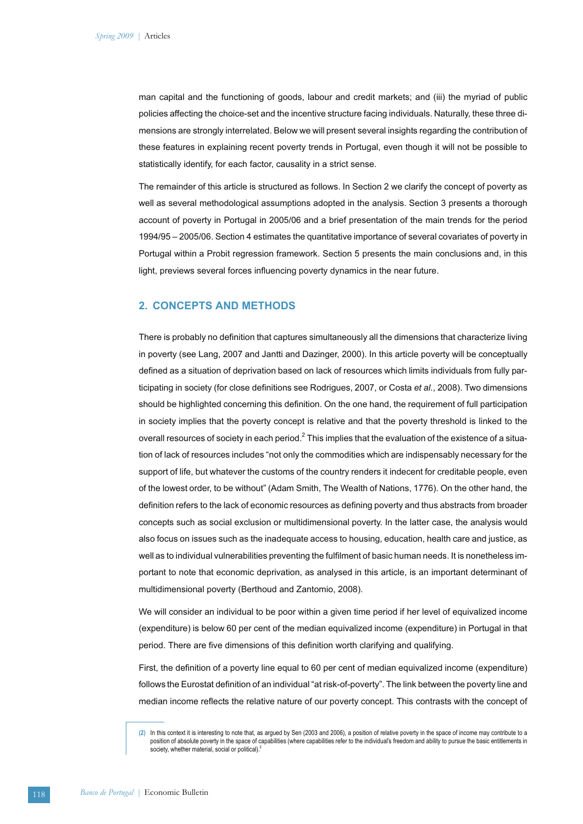man capital and the functioning of goods, labour and credit markets; and (iii) the myriad of public policies affecting the choice-set and the incentive structure facing individuals. Naturally, these three dimensions are strongly interrelated. Below we will present several insights regarding the contribution of these features in explaining recent poverty trends in Portugal, even though it will not be possible to statistically identify, for each factor, causality in a strict sense.

The remainder of this article is structured as follows. In Section 2 we clarify the concept of poverty as well as several methodological assumptions adopted in the analysis. Section 3 presents a thorough account of poverty in Portugal in 2005/06 and a brief presentation of the main trends for the period 1994/95 – 2005/06. Section 4 estimates the quantitative importance of several covariates of poverty in Portugal within a Probit regression framework. Section 5 presents the main conclusions and, in this light, previews several forces influencing poverty dynamics in the near future.

# **2. CONCEPTS AND METHODS**

There is probably no definition that captures simultaneously all the dimensions that characterize living in poverty (see Lang, 2007 and Jantti and Dazinger, 2000). In this article poverty will be conceptually defined as a situation of deprivation based on lack of resources which limits individuals from fully participating in society (for close definitions see Rodrigues, 2007, or Costa *et al.*, 2008). Two dimensions should be highlighted concerning this definition. On the one hand, the requirement of full participation in society implies that the poverty concept is relative and that the poverty threshold is linked to the overall resources of society in each period.<sup>2</sup> This implies that the evaluation of the existence of a situation of lack of resources includes "not only the commodities which are indispensably necessary for the support of life, but whatever the customs of the country renders it indecent for creditable people, even of the lowest order, to be without" (Adam Smith, The Wealth of Nations, 1776). On the other hand, the definition refers to the lack of economic resources as defining poverty and thus abstracts from broader concepts such as social exclusion or multidimensional poverty. In the latter case, the analysis would also focus on issues such as the inadequate access to housing, education, health care and justice, as well as to individual vulnerabilities preventing the fulfilment of basic human needs. It is nonetheless important to note that economic deprivation, as analysed in this article, is an important determinant of multidimensional poverty (Berthoud and Zantomio, 2008).

We will consider an individual to be poor within a given time period if her level of equivalized income (expenditure) is below 60 per cent of the median equivalized income (expenditure) in Portugal in that period. There are five dimensions of this definition worth clarifying and qualifying.

First, the definition of a poverty line equal to 60 per cent of median equivalized income (expenditure) follows the Eurostat definition of an individual "at risk-of-poverty". The link between the poverty line and median income reflects the relative nature of our poverty concept. This contrasts with the concept of

**<sup>(2)</sup>** In this context it is interesting to note that, as argued by Sen (2003 and 2006), a position of relative poverty in the space of income may contribute to a position of absolute poverty in the space of capabilities (where capabilities refer to the individual's freedom and ability to pursue the basic entitlements in society, whether material, social or political).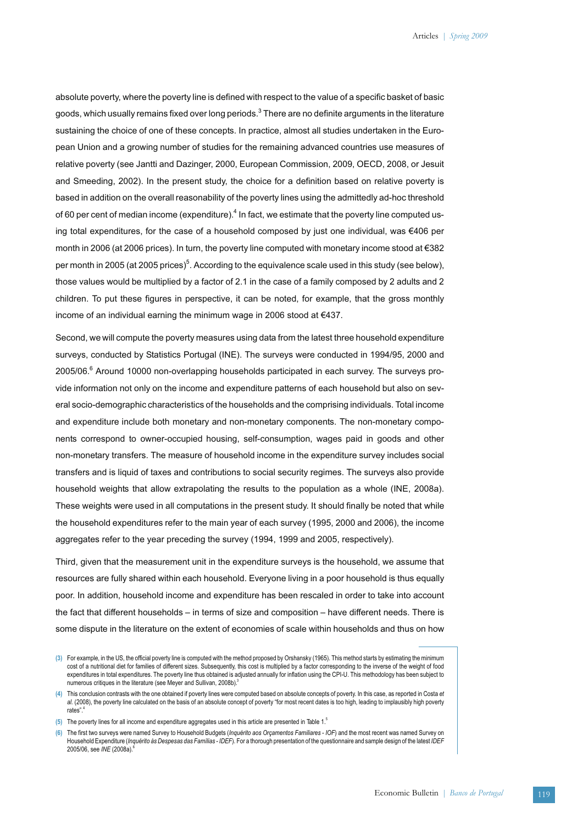absolute poverty, where the poverty line is defined with respect to the value of a specific basket of basic goods, which usually remains fixed over long periods.<sup>3</sup> There are no definite arguments in the literature sustaining the choice of one of these concepts. In practice, almost all studies undertaken in the European Union and a growing number of studies for the remaining advanced countries use measures of relative poverty (see Jantti and Dazinger, 2000, European Commission, 2009, OECD, 2008, or Jesuit and Smeeding, 2002). In the present study, the choice for a definition based on relative poverty is based in addition on the overall reasonability of the poverty lines using the admittedly ad-hoc threshold of 60 per cent of median income (expenditure).<sup>4</sup> In fact, we estimate that the poverty line computed using total expenditures, for the case of a household composed by just one individual, was €406 per month in 2006 (at 2006 prices). In turn, the poverty line computed with monetary income stood at €382 per month in 2005 (at 2005 prices) $^5$ . According to the equivalence scale used in this study (see below), those values would be multiplied by a factor of 2.1 in the case of a family composed by 2 adults and 2 children. To put these figures in perspective, it can be noted, for example, that the gross monthly income of an individual earning the minimum wage in 2006 stood at €437.

Second, we will compute the poverty measures using data from the latest three household expenditure surveys, conducted by Statistics Portugal (INE). The surveys were conducted in 1994/95, 2000 and 2005/06.<sup>6</sup> Around 10000 non-overlapping households participated in each survey. The surveys provide information not only on the income and expenditure patterns of each household but also on several socio-demographic characteristics of the households and the comprising individuals. Total income and expenditure include both monetary and non-monetary components. The non-monetary components correspond to owner-occupied housing, self-consumption, wages paid in goods and other non-monetary transfers. The measure of household income in the expenditure survey includes social transfers and is liquid of taxes and contributions to social security regimes. The surveys also provide household weights that allow extrapolating the results to the population as a whole (INE, 2008a). These weights were used in all computations in the present study. It should finally be noted that while the household expenditures refer to the main year of each survey (1995, 2000 and 2006), the income aggregates refer to the year preceding the survey (1994, 1999 and 2005, respectively).

Third, given that the measurement unit in the expenditure surveys is the household, we assume that resources are fully shared within each household. Everyone living in a poor household is thus equally poor. In addition, household income and expenditure has been rescaled in order to take into account the fact that different households – in terms of size and composition – have different needs. There is some dispute in the literature on the extent of economies of scale within households and thus on how

**<sup>(3)</sup>** For example, in the US, the official poverty line is computed with the method proposed by Orshansky (1965). This method starts by estimating the minimum cost of a nutritional diet for families of different sizes. Subsequently, this cost is multiplied by a factor corresponding to the inverse of the weight of food expenditures in total expenditures. The poverty line thus obtained is adjusted annually for inflation using the CPI-U. This methodology has been subject to numerous critiques in the literature (see Meyer and Sullivan, 2008b).

**<sup>(4)</sup>** This conclusion contrasts with the one obtained if poverty lines were computed based on absolute concepts of poverty. In this case, as reported in Costa *et al.* (2008), the poverty line calculated on the basis of an absolute concept of poverty "for most recent dates is too high, leading to implausibly high poverty rates".

**<sup>(5)</sup>** The poverty lines for all income and expenditure aggregates used in this article are presented in Table 1.5

**<sup>(6)</sup>** The first two surveys were named Survey to Household Budgets (*Inquérito aos Orçamentos Familiares - IOF*) and the most recent was named Survey on Household Expenditure (*Inquérito às Despesas das Famílias - IDEF*). For a thorough presentation of the questionnaire and sample design of the latest *IDEF* 2005/06, see *INE* (2008a).6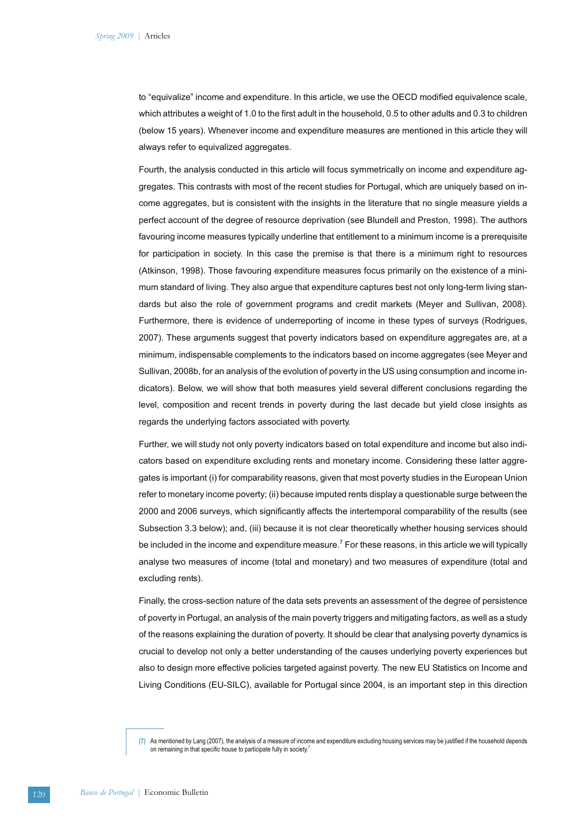to "equivalize" income and expenditure. In this article, we use the OECD modified equivalence scale, which attributes a weight of 1.0 to the first adult in the household, 0.5 to other adults and 0.3 to children (below 15 years). Whenever income and expenditure measures are mentioned in this article they will always refer to equivalized aggregates.

Fourth, the analysis conducted in this article will focus symmetrically on income and expenditure aggregates. This contrasts with most of the recent studies for Portugal, which are uniquely based on income aggregates, but is consistent with the insights in the literature that no single measure yields a perfect account of the degree of resource deprivation (see Blundell and Preston, 1998). The authors favouring income measures typically underline that entitlement to a minimum income is a prerequisite for participation in society. In this case the premise is that there is a minimum right to resources (Atkinson, 1998). Those favouring expenditure measures focus primarily on the existence of a minimum standard of living. They also argue that expenditure captures best not only long-term living standards but also the role of government programs and credit markets (Meyer and Sullivan, 2008). Furthermore, there is evidence of underreporting of income in these types of surveys (Rodrigues, 2007). These arguments suggest that poverty indicators based on expenditure aggregates are, at a minimum, indispensable complements to the indicators based on income aggregates (see Meyer and Sullivan, 2008b, for an analysis of the evolution of poverty in the US using consumption and income indicators). Below, we will show that both measures yield several different conclusions regarding the level, composition and recent trends in poverty during the last decade but yield close insights as regards the underlying factors associated with poverty.

Further, we will study not only poverty indicators based on total expenditure and income but also indicators based on expenditure excluding rents and monetary income. Considering these latter aggregates is important (i) for comparability reasons, given that most poverty studies in the European Union refer to monetary income poverty; (ii) because imputed rents display a questionable surge between the 2000 and 2006 surveys, which significantly affects the intertemporal comparability of the results (see Subsection 3.3 below); and, (iii) because it is not clear theoretically whether housing services should be included in the income and expenditure measure.<sup>7</sup> For these reasons, in this article we will typically analyse two measures of income (total and monetary) and two measures of expenditure (total and excluding rents).

Finally, the cross-section nature of the data sets prevents an assessment of the degree of persistence of poverty in Portugal, an analysis of the main poverty triggers and mitigating factors, as well as a study of the reasons explaining the duration of poverty. It should be clear that analysing poverty dynamics is crucial to develop not only a better understanding of the causes underlying poverty experiences but also to design more effective policies targeted against poverty. The new EU Statistics on Income and Living Conditions (EU-SILC), available for Portugal since 2004, is an important step in this direction

**<sup>(7)</sup>** As mentioned by Lang (2007), the analysis of a measure of income and expenditure excluding housing services may be justified if the household depends on remaining in that specific house to participate fully in society.<sup>7</sup>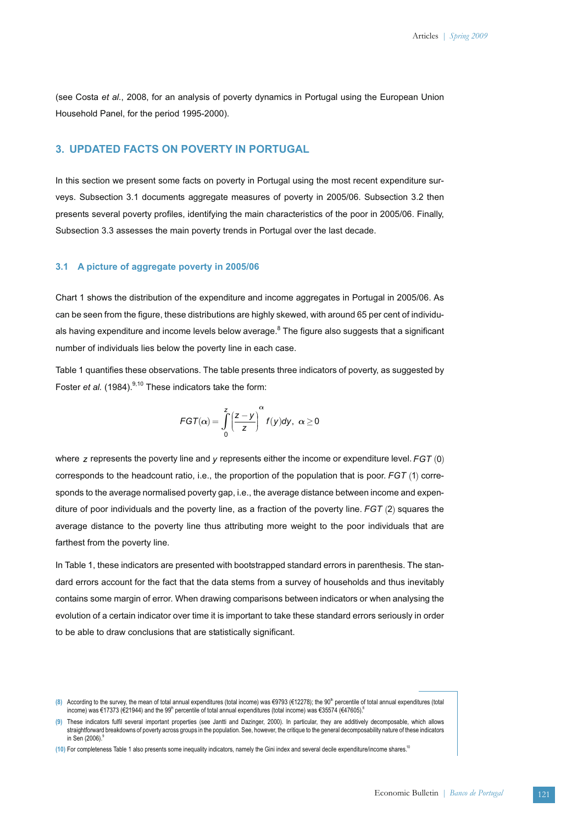(see Costa *et al.*, 2008, for an analysis of poverty dynamics in Portugal using the European Union Household Panel, for the period 1995-2000).

## **3. UPDATED FACTS ON POVERTY IN PORTUGAL**

In this section we present some facts on poverty in Portugal using the most recent expenditure surveys. Subsection 3.1 documents aggregate measures of poverty in 2005/06. Subsection 3.2 then presents several poverty profiles, identifying the main characteristics of the poor in 2005/06. Finally, Subsection 3.3 assesses the main poverty trends in Portugal over the last decade.

### **3.1 A picture of aggregate poverty in 2005/06**

Chart 1 shows the distribution of the expenditure and income aggregates in Portugal in 2005/06. As can be seen from the figure, these distributions are highly skewed, with around 65 per cent of individuals having expenditure and income levels below average.<sup>8</sup> The figure also suggests that a significant number of individuals lies below the poverty line in each case.

Table 1 quantifies these observations. The table presents three indicators of poverty, as suggested by Foster *et al.* (1984).<sup>9,10</sup> These indicators take the form:

$$
\mathsf{FGT}(\alpha) = \int_{0}^{z} \left(\frac{z-y}{z}\right)^{\alpha} f(y) dy, \ \alpha \geq 0
$$

where  $\,$  z represents the poverty line and  $y$  represents either the income or expenditure level.  $FG$   $T$   $(0)$ corresponds to the headcount ratio, i.e., the proportion of the population that is poor. *FGT* (1) corresponds to the average normalised poverty gap, i.e., the average distance between income and expenditure of poor individuals and the poverty line, as a fraction of the poverty line.  $FG$   $7$  (2) squares the average distance to the poverty line thus attributing more weight to the poor individuals that are farthest from the poverty line.

In Table 1, these indicators are presented with bootstrapped standard errors in parenthesis. The standard errors account for the fact that the data stems from a survey of households and thus inevitably contains some margin of error. When drawing comparisons between indicators or when analysing the evolution of a certain indicator over time it is important to take these standard errors seriously in order to be able to draw conclusions that are statistically significant.

<sup>(8)</sup> According to the survey, the mean of total annual expenditures (total income) was €9793 (€12278); the 90<sup>th</sup> percentile of total annual expenditures (total income) was €17373 (€21944) and the 99<sup>th</sup> percentile of total annual expenditures (total income) was €35574 (€47605).<sup>8</sup>

**<sup>(9)</sup>** These indicators fulfil several important properties (see Jantti and Dazinger, 2000). In particular, they are additively decomposable, which allows straightforward breakdowns of poverty across groups in the population. See, however, the critique to the general decomposability nature of these indicators in Sen  $(2006)$ .

**<sup>(10)</sup>** For completeness Table 1 also presents some inequality indicators, namely the Gini index and several decile expenditure/income shares.10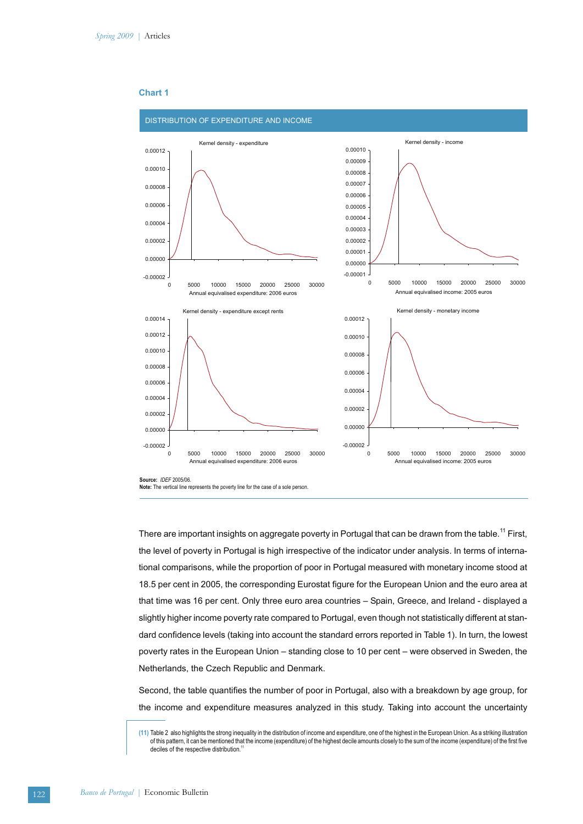

### **Chart 1**

**Source:** *IDEF* 2005/06. **Note:** The vertical line represents the poverty line for the case of a sole person.

There are important insights on aggregate poverty in Portugal that can be drawn from the table.<sup>11</sup> First, the level of poverty in Portugal is high irrespective of the indicator under analysis. In terms of international comparisons, while the proportion of poor in Portugal measured with monetary income stood at 18.5 per cent in 2005, the corresponding Eurostat figure for the European Union and the euro area at that time was 16 per cent. Only three euro area countries – Spain, Greece, and Ireland - displayed a slightly higher income poverty rate compared to Portugal, even though not statistically different at standard confidence levels (taking into account the standard errors reported in Table 1). In turn, the lowest poverty rates in the European Union – standing close to 10 per cent – were observed in Sweden, the Netherlands, the Czech Republic and Denmark.

Second, the table quantifies the number of poor in Portugal, also with a breakdown by age group, for the income and expenditure measures analyzed in this study. Taking into account the uncertainty

**<sup>(11)</sup>** Table 2 also highlights the strong inequality in the distribution of income and expenditure, one of the highest in the European Union. As a striking illustration of this pattern, it can be mentioned that the income (expenditure) of the highest decile amounts closely to the sum of the income (expenditure) of the first five deciles of the respective distribution.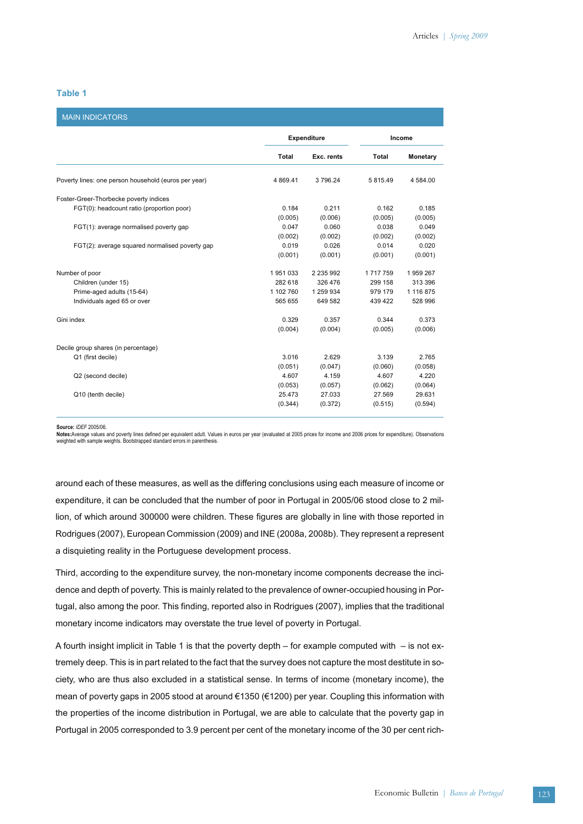### **Table 1**

| <b>MAIN INDICATORS</b>                               |              |                    |               |           |  |
|------------------------------------------------------|--------------|--------------------|---------------|-----------|--|
|                                                      |              | <b>Expenditure</b> |               | Income    |  |
|                                                      | <b>Total</b> | Exc. rents         | Total         | Monetary  |  |
| Poverty lines: one person household (euros per year) | 4 8 6 9.41   | 3796.24            | 5 815.49      | 4 584.00  |  |
| Foster-Greer-Thorbecke poverty indices               |              |                    |               |           |  |
| FGT(0): headcount ratio (proportion poor)            | 0.184        | 0.211              | 0.162         | 0.185     |  |
|                                                      | (0.005)      | (0.006)            | (0.005)       | (0.005)   |  |
| FGT(1): average normalised poverty gap               | 0.047        | 0.060              | 0.038         | 0.049     |  |
|                                                      | (0.002)      | (0.002)            | (0.002)       | (0.002)   |  |
| FGT(2): average squared normalised poverty gap       | 0.019        | 0.026              | 0.014         | 0.020     |  |
|                                                      | (0.001)      | (0.001)            | (0.001)       | (0.001)   |  |
| Number of poor                                       | 1951033      | 2 2 3 5 9 9 2      | 1 7 1 7 7 5 9 | 1959267   |  |
| Children (under 15)                                  | 282 618      | 326 476            | 299 158       | 313 396   |  |
| Prime-aged adults (15-64)                            | 1 102 760    | 1 259 934          | 979 179       | 1 116 875 |  |
| Individuals aged 65 or over                          | 565 655      | 649 582            | 439 422       | 528 996   |  |
| Gini index                                           | 0.329        | 0.357              | 0.344         | 0.373     |  |
|                                                      | (0.004)      | (0.004)            | (0.005)       | (0.006)   |  |
| Decile group shares (in percentage)                  |              |                    |               |           |  |
| Q1 (first decile)                                    | 3.016        | 2.629              | 3.139         | 2.765     |  |
|                                                      | (0.051)      | (0.047)            | (0.060)       | (0.058)   |  |
| Q2 (second decile)                                   | 4.607        | 4.159              | 4.607         | 4.220     |  |
|                                                      | (0.053)      | (0.057)            | (0.062)       | (0.064)   |  |
| Q10 (tenth decile)                                   | 25.473       | 27.033             | 27.569        | 29.631    |  |
|                                                      | (0.344)      | (0.372)            | (0.515)       | (0.594)   |  |
|                                                      |              |                    |               |           |  |

**Source:** *IDEF* 2005/06.

**Notes:**Average values and poverty lines defined per equivalent adult. Values in euros per year (evaluated at 2005 prices for income and 2006 prices for expenditure). Observations weighted with sample weights. Bootstrapped standard errors in parenthesis.

around each of these measures, as well as the differing conclusions using each measure of income or expenditure, it can be concluded that the number of poor in Portugal in 2005/06 stood close to 2 million, of which around 300000 were children. These figures are globally in line with those reported in Rodrigues (2007), European Commission (2009) and INE (2008a, 2008b). They represent a represent a disquieting reality in the Portuguese development process.

Third, according to the expenditure survey, the non-monetary income components decrease the incidence and depth of poverty. This is mainly related to the prevalence of owner-occupied housing in Portugal, also among the poor. This finding, reported also in Rodrigues (2007), implies that the traditional monetary income indicators may overstate the true level of poverty in Portugal.

A fourth insight implicit in Table 1 is that the poverty depth – for example computed with  $-$  is not extremely deep. This is in part related to the fact that the survey does not capture the most destitute in society, who are thus also excluded in a statistical sense. In terms of income (monetary income), the mean of poverty gaps in 2005 stood at around €1350 (€1200) per year. Coupling this information with the properties of the income distribution in Portugal, we are able to calculate that the poverty gap in Portugal in 2005 corresponded to 3.9 percent per cent of the monetary income of the 30 per cent rich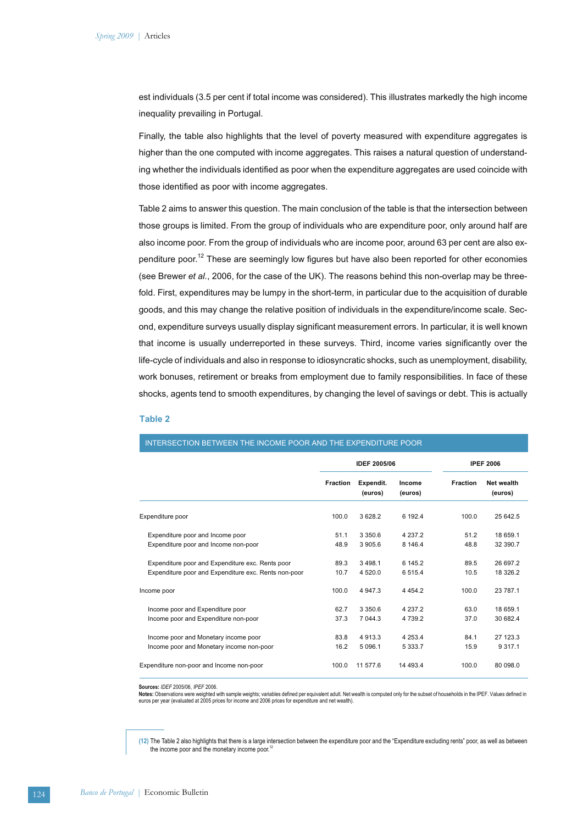est individuals (3.5 per cent if total income was considered). This illustrates markedly the high income inequality prevailing in Portugal.

Finally, the table also highlights that the level of poverty measured with expenditure aggregates is higher than the one computed with income aggregates. This raises a natural question of understanding whether the individuals identified as poor when the expenditure aggregates are used coincide with those identified as poor with income aggregates.

Table 2 aims to answer this question. The main conclusion of the table is that the intersection between those groups is limited. From the group of individuals who are expenditure poor, only around half are also income poor. From the group of individuals who are income poor, around 63 per cent are also expenditure poor.<sup>12</sup> These are seemingly low figures but have also been reported for other economies (see Brewer *et al.*, 2006, for the case of the UK). The reasons behind this non-overlap may be threefold. First, expenditures may be lumpy in the short-term, in particular due to the acquisition of durable goods, and this may change the relative position of individuals in the expenditure/income scale. Second, expenditure surveys usually display significant measurement errors. In particular, it is well known that income is usually underreported in these surveys. Third, income varies significantly over the life-cycle of individuals and also in response to idiosyncratic shocks, such as unemployment, disability, work bonuses, retirement or breaks from employment due to family responsibilities. In face of these shocks, agents tend to smooth expenditures, by changing the level of savings or debt. This is actually

#### **Table 2**

|                                                      | <b>IDEF 2005/06</b> |                      |                   | <b>IPEF 2006</b> |                              |  |
|------------------------------------------------------|---------------------|----------------------|-------------------|------------------|------------------------------|--|
|                                                      | <b>Fraction</b>     | Expendit.<br>(euros) | Income<br>(euros) | <b>Fraction</b>  | <b>Net wealth</b><br>(euros) |  |
| Expenditure poor                                     | 100.0               | 3628.2               | 6 192.4           | 100.0            | 25 642.5                     |  |
| Expenditure poor and Income poor                     | 51.1                | 3 3 5 0.6            | 4 2 3 7 . 2       | 51.2             | 18 659.1                     |  |
| Expenditure poor and Income non-poor                 | 48.9                | 3 905.6              | 8 146.4           | 48.8             | 32 390.7                     |  |
| Expenditure poor and Expenditure exc. Rents poor     | 89.3                | 3 4 9 8 1            | 6 145.2           | 89.5             | 26 697.2                     |  |
| Expenditure poor and Expenditure exc. Rents non-poor | 10.7                | 4 520.0              | 6 5 1 5.4         | 10.5             | 18 326.2                     |  |
| Income poor                                          | 100.0               | 4 9 4 7 3            | 4 4 5 4 2         | 100.0            | 23 787.1                     |  |
| Income poor and Expenditure poor                     | 62.7                | 3 3 5 0.6            | 4 2 3 7 . 2       | 63.0             | 18 659.1                     |  |
| Income poor and Expenditure non-poor                 | 37.3                | 7 044.3              | 4739.2            | 37.0             | 30 682.4                     |  |
| Income poor and Monetary income poor                 | 83.8                | 4 9 1 3 . 3          | 4 2 5 3 . 4       | 84.1             | 27 123.3                     |  |
| Income poor and Monetary income non-poor             | 16.2                | 5 0 96.1             | 5 3 3 3 . 7       | 15.9             | 9 3 1 7 . 1                  |  |
| Expenditure non-poor and Income non-poor             | 100.0               | 11 577.6             | 14 493.4          | 100.0            | 80 098.0                     |  |

## INTERSECTION BETWEEN THE INCOME POOR AND THE EXPENDITURE POOR

**Sources:** *IDEF* 2005/06, *IPEF* 2006.

**Notes:** Observations were weighted with sample weights; variables defined per equivalent adult. Net wealth is computed only for the subset of households in the IPEF. Values defined in<br>euros per year (evaluated at 2005 pri

**(12)** The Table 2 also highlights that there is a large intersection between the expenditure poor and the "Expenditure excluding rents" poor, as well as between the income poor and the monetary income poor.<sup>12</sup>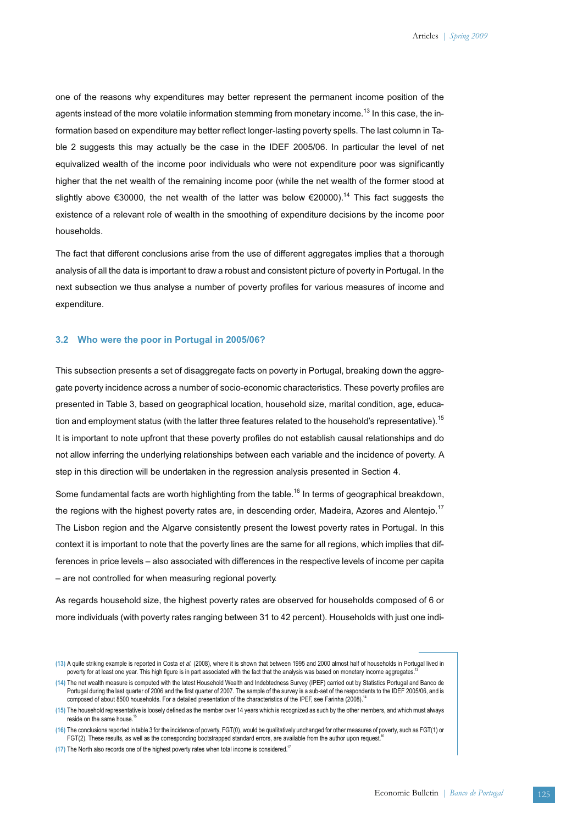one of the reasons why expenditures may better represent the permanent income position of the agents instead of the more volatile information stemming from monetary income.<sup>13</sup> In this case, the information based on expenditure may better reflect longer-lasting poverty spells. The last column in Table 2 suggests this may actually be the case in the IDEF 2005/06. In particular the level of net equivalized wealth of the income poor individuals who were not expenditure poor was significantly higher that the net wealth of the remaining income poor (while the net wealth of the former stood at slightly above €30000, the net wealth of the latter was below €20000).<sup>14</sup> This fact suggests the existence of a relevant role of wealth in the smoothing of expenditure decisions by the income poor households.

The fact that different conclusions arise from the use of different aggregates implies that a thorough analysis of all the data is important to draw a robust and consistent picture of poverty in Portugal. In the next subsection we thus analyse a number of poverty profiles for various measures of income and expenditure.

#### **3.2 Who were the poor in Portugal in 2005/06?**

This subsection presents a set of disaggregate facts on poverty in Portugal, breaking down the aggregate poverty incidence across a number of socio-economic characteristics. These poverty profiles are presented in Table 3, based on geographical location, household size, marital condition, age, education and employment status (with the latter three features related to the household's representative).<sup>15</sup> It is important to note upfront that these poverty profiles do not establish causal relationships and do not allow inferring the underlying relationships between each variable and the incidence of poverty. A step in this direction will be undertaken in the regression analysis presented in Section 4.

Some fundamental facts are worth highlighting from the table.<sup>16</sup> In terms of geographical breakdown, the regions with the highest poverty rates are, in descending order, Madeira, Azores and Alentejo.<sup>17</sup> The Lisbon region and the Algarve consistently present the lowest poverty rates in Portugal. In this context it is important to note that the poverty lines are the same for all regions, which implies that differences in price levels – also associated with differences in the respective levels of income per capita – are not controlled for when measuring regional poverty.

As regards household size, the highest poverty rates are observed for households composed of 6 or more individuals (with poverty rates ranging between 31 to 42 percent). Households with just one indi-

**<sup>(13)</sup>** A quite striking example is reported in Costa *et al.* (2008), where it is shown that between 1995 and 2000 almost half of households in Portugal lived in poverty for at least one year. This high figure is in part associated with the fact that the analysis was based on monetary income aggregates.

**<sup>(14)</sup>** The net wealth measure is computed with the latest Household Wealth and Indebtedness Survey (IPEF) carried out by Statistics Portugal and Banco de Portugal during the last quarter of 2006 and the first quarter of 2007. The sample of the survey is a sub-set of the respondents to the IDEF 2005/06, and is composed of about 8500 households. For a detailed presentation of the characteristics of the IPEF, see Farinha (2008).<sup>14</sup>

**<sup>(15)</sup>** The household representative is loosely defined as the member over 14 years which is recognized as such by the other members, and which must always reside on the same house.

**<sup>(16)</sup>** The conclusions reported in table 3 for the incidence of poverty, FGT(0), would be qualitatively unchanged for other measures of poverty, such as FGT(1) or FGT(2). These results, as well as the corresponding bootstrapped standard errors, are available from the author upon request.

**<sup>(17)</sup>** The North also records one of the highest poverty rates when total income is considered.17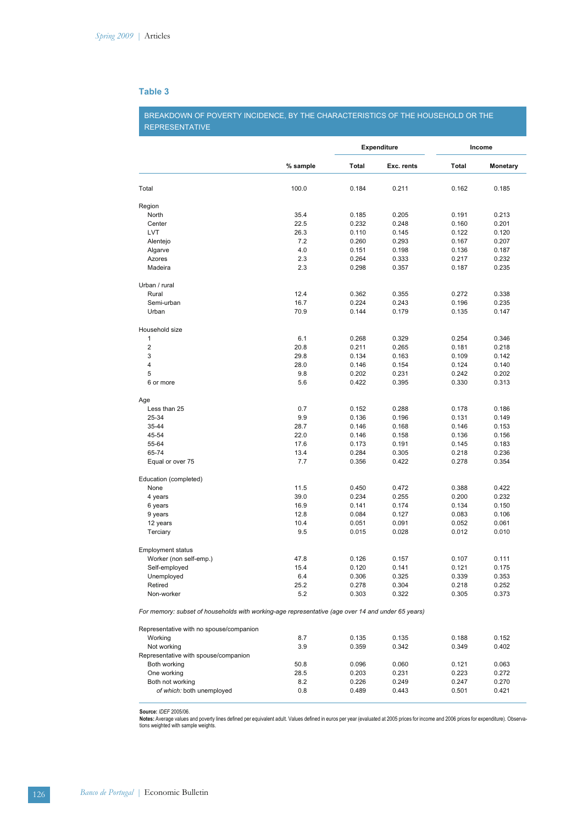# **Table 3**

BREAKDOWN OF POVERTY INCIDENCE, BY THE CHARACTERISTICS OF THE HOUSEHOLD OR THE REPRESENTATIVE

|                                                                                                   |          | <b>Expenditure</b> |            | Income |                 |  |
|---------------------------------------------------------------------------------------------------|----------|--------------------|------------|--------|-----------------|--|
|                                                                                                   | % sample | <b>Total</b>       | Exc. rents | Total  | <b>Monetary</b> |  |
| Total                                                                                             | 100.0    | 0.184              | 0.211      | 0.162  | 0.185           |  |
| Region                                                                                            |          |                    |            |        |                 |  |
| North                                                                                             | 35.4     | 0.185              | 0.205      | 0.191  | 0.213           |  |
| Center                                                                                            | 22.5     | 0.232              | 0.248      | 0.160  | 0.201           |  |
| <b>LVT</b>                                                                                        | 26.3     | 0.110              | 0.145      | 0.122  | 0.120           |  |
| Alentejo                                                                                          | 7.2      | 0.260              | 0.293      | 0.167  | 0.207           |  |
| Algarve                                                                                           | 4.0      | 0.151              | 0.198      | 0.136  | 0.187           |  |
| Azores                                                                                            | 2.3      | 0.264              | 0.333      | 0.217  | 0.232           |  |
| Madeira                                                                                           | 2.3      | 0.298              | 0.357      | 0.187  | 0.235           |  |
| Urban / rural                                                                                     |          |                    |            |        |                 |  |
| Rural                                                                                             | 12.4     | 0.362              | 0.355      | 0.272  | 0.338           |  |
| Semi-urban                                                                                        | 16.7     | 0.224              | 0.243      | 0.196  | 0.235           |  |
| Urban                                                                                             | 70.9     | 0.144              | 0.179      | 0.135  | 0.147           |  |
| Household size                                                                                    |          |                    |            |        |                 |  |
| $\mathbf{1}$                                                                                      | 6.1      | 0.268              | 0.329      | 0.254  | 0.346           |  |
| $\overline{2}$                                                                                    | 20.8     | 0.211              | 0.265      | 0.181  | 0.218           |  |
| 3                                                                                                 | 29.8     | 0.134              | 0.163      | 0.109  | 0.142           |  |
| 4                                                                                                 | 28.0     | 0.146              | 0.154      | 0.124  | 0.140           |  |
| 5                                                                                                 | 9.8      | 0.202              | 0.231      | 0.242  | 0.202           |  |
| 6 or more                                                                                         | 5.6      | 0.422              | 0.395      | 0.330  | 0.313           |  |
| Age                                                                                               |          |                    |            |        |                 |  |
| Less than 25                                                                                      | 0.7      | 0.152              | 0.288      | 0.178  | 0.186           |  |
| 25-34                                                                                             | 9.9      | 0.136              | 0.196      | 0.131  | 0.149           |  |
| 35-44                                                                                             | 28.7     | 0.146              | 0.168      | 0.146  | 0.153           |  |
| 45-54                                                                                             | 22.0     | 0.146              | 0.158      | 0.136  | 0.156           |  |
| 55-64                                                                                             | 17.6     | 0.173              | 0.191      | 0.145  | 0.183           |  |
| 65-74                                                                                             | 13.4     | 0.284              | 0.305      | 0.218  | 0.236           |  |
| Equal or over 75                                                                                  | 7.7      | 0.356              | 0.422      | 0.278  | 0.354           |  |
| Education (completed)                                                                             |          |                    |            |        |                 |  |
| None                                                                                              | 11.5     | 0.450              | 0.472      | 0.388  | 0.422           |  |
| 4 years                                                                                           | 39.0     | 0.234              | 0.255      | 0.200  | 0.232           |  |
| 6 years                                                                                           | 16.9     | 0.141              | 0.174      | 0.134  | 0.150           |  |
| 9 years                                                                                           | 12.8     | 0.084              | 0.127      | 0.083  | 0.106           |  |
| 12 years                                                                                          | 10.4     | 0.051              | 0.091      | 0.052  | 0.061           |  |
| Terciary                                                                                          | 9.5      | 0.015              | 0.028      | 0.012  | 0.010           |  |
| <b>Employment status</b>                                                                          |          |                    |            |        |                 |  |
| Worker (non self-emp.)                                                                            | 47.8     | 0.126              | 0.157      | 0.107  | 0.111           |  |
| Self-employed                                                                                     | 15.4     | 0.120              | 0.141      | 0.121  | 0.175           |  |
| Unemployed                                                                                        | 6.4      | 0.306              | 0.325      | 0.339  | 0.353           |  |
| Retired                                                                                           | 25.2     | 0.278              | 0.304      | 0.218  | 0.252           |  |
| Non-worker                                                                                        | 5.2      | 0.303              | 0.322      | 0.305  | 0.373           |  |
| For memory: subset of households with working-age representative (age over 14 and under 65 years) |          |                    |            |        |                 |  |
| Representative with no spouse/companion                                                           |          |                    |            |        |                 |  |
| Working                                                                                           | 8.7      | 0.135              | 0.135      | 0.188  | 0.152           |  |
| Not working                                                                                       | 3.9      | 0.359              | 0.342      | 0.349  | 0.402           |  |
| Representative with spouse/companion                                                              |          |                    |            |        |                 |  |
| Both working                                                                                      | 50.8     | 0.096              | 0.060      | 0.121  | 0.063           |  |
| One working                                                                                       | 28.5     | 0.203              | 0.231      | 0.223  | 0.272           |  |
| Both not working                                                                                  | 8.2      | 0.226              | 0.249      | 0.247  | 0.270           |  |
| of which: both unemployed                                                                         | 0.8      | 0.489              | 0.443      | 0.501  | 0.421           |  |

Source: *IDEF* 2005/06.<br>Notes: Average values and poverty lines defined per equivalent adult. Values defined in euros per year (evaluated at 2005 prices for income and 2006 prices for expenditure). Observa-<br>tions weighted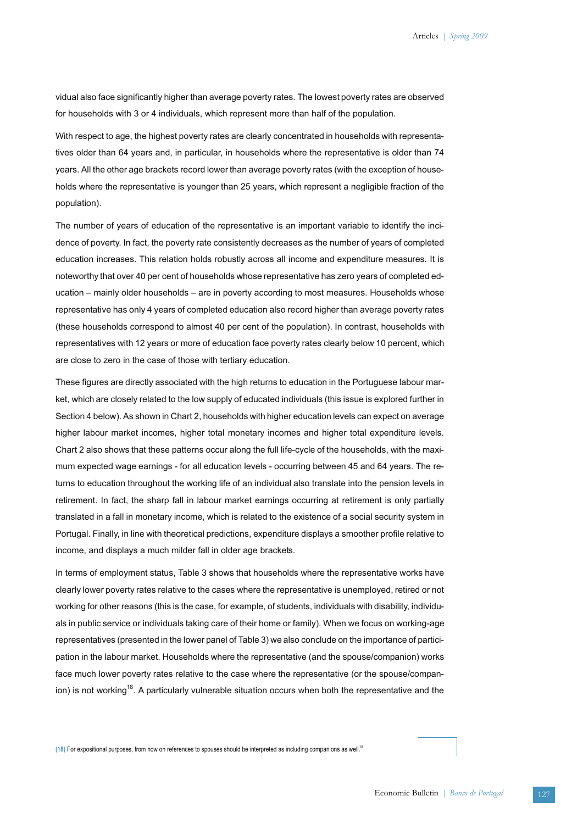vidual also face significantly higher than average poverty rates. The lowest poverty rates are observed for households with 3 or 4 individuals, which represent more than half of the population.

With respect to age, the highest poverty rates are clearly concentrated in households with representatives older than 64 years and, in particular, in households where the representative is older than 74 years. All the other age brackets record lower than average poverty rates (with the exception of households where the representative is younger than 25 years, which represent a negligible fraction of the population).

The number of years of education of the representative is an important variable to identify the incidence of poverty. In fact, the poverty rate consistently decreases as the number of years of completed education increases. This relation holds robustly across all income and expenditure measures. It is noteworthy that over 40 per cent of households whose representative has zero years of completed education – mainly older households – are in poverty according to most measures. Households whose representative has only 4 years of completed education also record higher than average poverty rates (these households correspond to almost 40 per cent of the population). In contrast, households with representatives with 12 years or more of education face poverty rates clearly below 10 percent, which are close to zero in the case of those with tertiary education.

These figures are directly associated with the high returns to education in the Portuguese labour market, which are closely related to the low supply of educated individuals (this issue is explored further in Section 4 below). As shown in Chart 2, households with higher education levels can expect on average higher labour market incomes, higher total monetary incomes and higher total expenditure levels. Chart 2 also shows that these patterns occur along the full life-cycle of the households, with the maximum expected wage earnings - for all education levels - occurring between 45 and 64 years. The returns to education throughout the working life of an individual also translate into the pension levels in retirement. In fact, the sharp fall in labour market earnings occurring at retirement is only partially translated in a fall in monetary income, which is related to the existence of a social security system in Portugal. Finally, in line with theoretical predictions, expenditure displays a smoother profile relative to income, and displays a much milder fall in older age brackets.

In terms of employment status, Table 3 shows that households where the representative works have clearly lower poverty rates relative to the cases where the representative is unemployed, retired or not working for other reasons (this is the case, for example, of students, individuals with disability, individuals in public service or individuals taking care of their home or family). When we focus on working-age representatives (presented in the lower panel of Table 3) we also conclude on the importance of participation in the labour market. Households where the representative (and the spouse/companion) works face much lower poverty rates relative to the case where the representative (or the spouse/companion) is not working<sup>18</sup>. A particularly vulnerable situation occurs when both the representative and the

**(18)** For expositional purposes, from now on references to spouses should be interpreted as including companions as well.18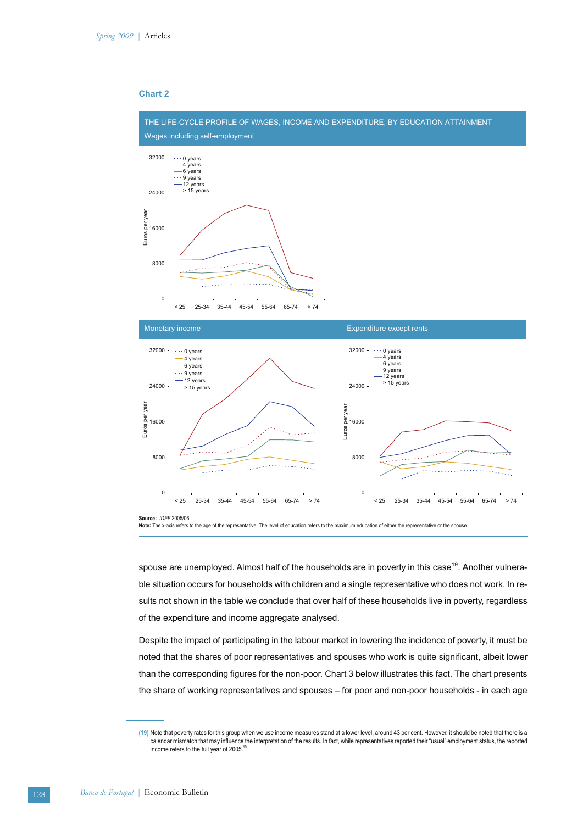## **Chart 2**



Note: The x-axis refers to the age of the representative. The level of education refers to the maximum education of either the representative or the spouse

spouse are unemployed. Almost half of the households are in poverty in this case<sup>19</sup>. Another vulnerable situation occurs for households with children and a single representative who does not work. In results not shown in the table we conclude that over half of these households live in poverty, regardless of the expenditure and income aggregate analysed.

Despite the impact of participating in the labour market in lowering the incidence of poverty, it must be noted that the shares of poor representatives and spouses who work is quite significant, albeit lower than the corresponding figures for the non-poor. Chart 3 below illustrates this fact. The chart presents the share of working representatives and spouses – for poor and non-poor households - in each age

**<sup>(19)</sup>** Note that poverty rates for this group when we use income measures stand at a lower level, around 43 per cent. However, it should be noted that there is a calendar mismatch that may influence the interpretation of the results. In fact, while representatives reported their "usual" employment status, the reported income refers to the full year of 2005.<sup>19</sup>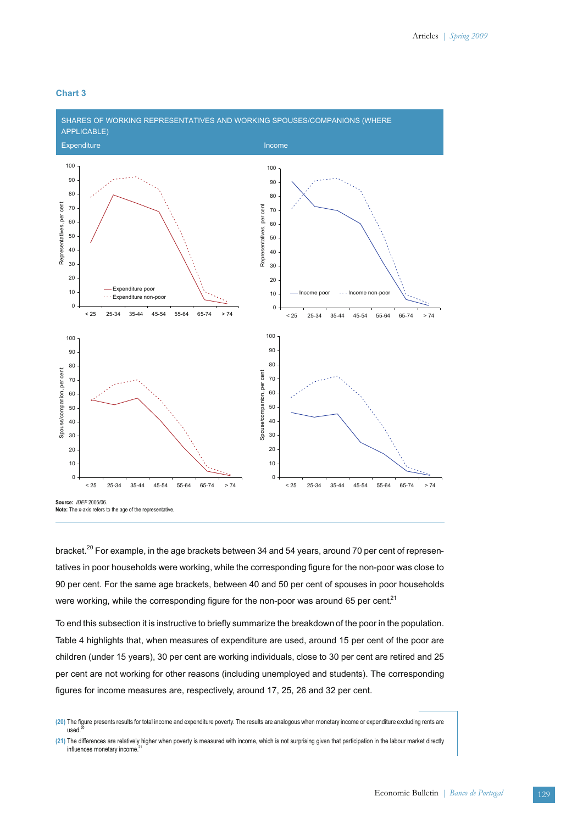

### **Chart 3**

0 10 20

**Source:** *IDEF* 2005/06.

**Note:** The x-axis refers to the age of the representative.

< 25 25-34 35-44 45-54 55-64 65-74 > 74

bracket.<sup>20</sup> For example, in the age brackets between 34 and 54 years, around 70 per cent of representatives in poor households were working, while the corresponding figure for the non-poor was close to 90 per cent. For the same age brackets, between 40 and 50 per cent of spouses in poor households were working, while the corresponding figure for the non-poor was around 65 per cent.<sup>21</sup>

 $\mathsf{C}$ 10  $20$ 

< 25 25-34 35-44 45-54 55-64 65-74 > 74

To end this subsection it is instructive to briefly summarize the breakdown of the poor in the population. Table 4 highlights that, when measures of expenditure are used, around 15 per cent of the poor are children (under 15 years), 30 per cent are working individuals, close to 30 per cent are retired and 25 per cent are not working for other reasons (including unemployed and students). The corresponding figures for income measures are, respectively, around 17, 25, 26 and 32 per cent.

**<sup>(20)</sup>** The figure presents results for total income and expenditure poverty. The results are analogous when monetary income or expenditure excluding rents are used.

**<sup>(21)</sup>** The differences are relatively higher when poverty is measured with income, which is not surprising given that participation in the labour market directly influences monetary income.<sup>2</sup>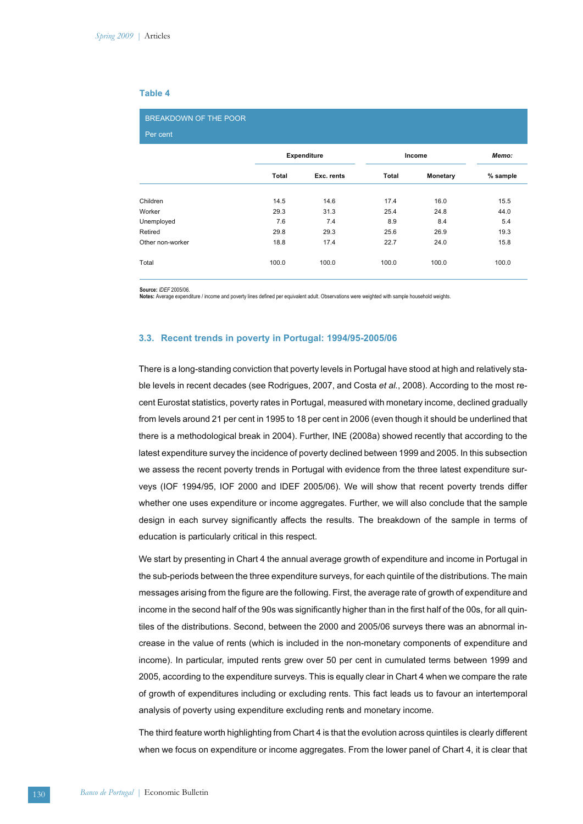### **Table 4**

| BREAKDOWN OF THE POOR<br>Per cent |       |                    |       |                 |          |  |
|-----------------------------------|-------|--------------------|-------|-----------------|----------|--|
|                                   |       | <b>Expenditure</b> |       | Income          |          |  |
|                                   | Total | Exc. rents         | Total | <b>Monetary</b> | % sample |  |
| Children                          | 14.5  | 14.6               | 17.4  | 16.0            | 15.5     |  |
| Worker                            | 29.3  | 31.3               | 25.4  | 24.8            | 44.0     |  |
| Unemployed                        | 7.6   | 7.4                | 8.9   | 8.4             | 5.4      |  |
| Retired                           | 29.8  | 29.3               | 25.6  | 26.9            | 19.3     |  |
| Other non-worker                  | 18.8  | 17.4               | 22.7  | 24.0            | 15.8     |  |
| Total                             | 100.0 | 100.0              | 100.0 | 100.0           | 100.0    |  |

**Source:** *IDEF* 2005/06.

Notes: Average expenditure / income and poverty lines defined per equivalent adult. Observations were weighted with sample household weights

### **3.3. Recent trends in poverty in Portugal: 1994/95-2005/06**

There is a long-standing conviction that poverty levels in Portugal have stood at high and relatively stable levels in recent decades (see Rodrigues, 2007, and Costa *et al.*, 2008). According to the most recent Eurostat statistics, poverty rates in Portugal, measured with monetary income, declined gradually from levels around 21 per cent in 1995 to 18 per cent in 2006 (even though it should be underlined that there is a methodological break in 2004). Further, INE (2008a) showed recently that according to the latest expenditure survey the incidence of poverty declined between 1999 and 2005. In this subsection we assess the recent poverty trends in Portugal with evidence from the three latest expenditure surveys (IOF 1994/95, IOF 2000 and IDEF 2005/06). We will show that recent poverty trends differ whether one uses expenditure or income aggregates. Further, we will also conclude that the sample design in each survey significantly affects the results. The breakdown of the sample in terms of education is particularly critical in this respect.

We start by presenting in Chart 4 the annual average growth of expenditure and income in Portugal in the sub-periods between the three expenditure surveys, for each quintile of the distributions. The main messages arising from the figure are the following. First, the average rate of growth of expenditure and income in the second half of the 90s was significantly higher than in the first half of the 00s, for all quintiles of the distributions. Second, between the 2000 and 2005/06 surveys there was an abnormal increase in the value of rents (which is included in the non-monetary components of expenditure and income). In particular, imputed rents grew over 50 per cent in cumulated terms between 1999 and 2005, according to the expenditure surveys. This is equally clear in Chart 4 when we compare the rate of growth of expenditures including or excluding rents. This fact leads us to favour an intertemporal analysis of poverty using expenditure excluding rents and monetary income.

The third feature worth highlighting from Chart 4 is that the evolution across quintiles is clearly different when we focus on expenditure or income aggregates. From the lower panel of Chart 4, it is clear that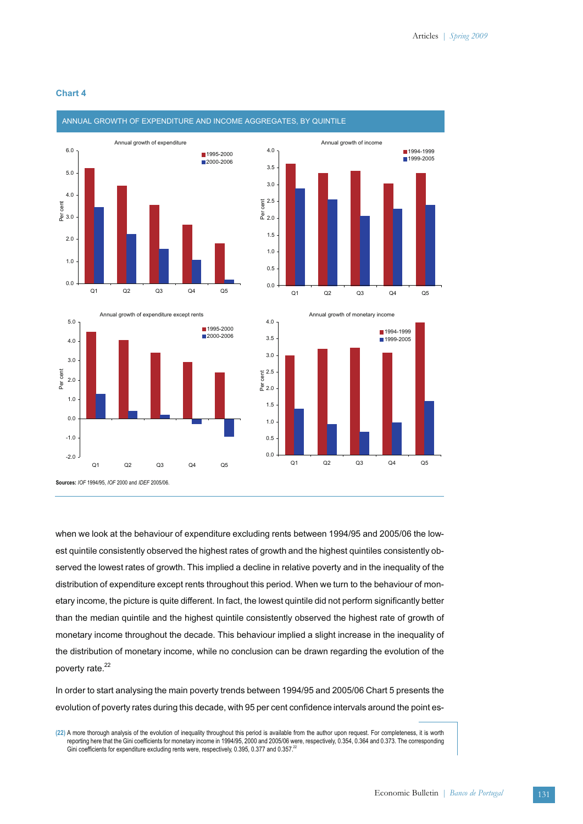

### **Chart 4**

when we look at the behaviour of expenditure excluding rents between 1994/95 and 2005/06 the lowest quintile consistently observed the highest rates of growth and the highest quintiles consistently observed the lowest rates of growth. This implied a decline in relative poverty and in the inequality of the distribution of expenditure except rents throughout this period. When we turn to the behaviour of monetary income, the picture is quite different. In fact, the lowest quintile did not perform significantly better than the median quintile and the highest quintile consistently observed the highest rate of growth of monetary income throughout the decade. This behaviour implied a slight increase in the inequality of the distribution of monetary income, while no conclusion can be drawn regarding the evolution of the poverty rate.<sup>22</sup>

In order to start analysing the main poverty trends between 1994/95 and 2005/06 Chart 5 presents the evolution of poverty rates during this decade, with 95 per cent confidence intervals around the point es-

**<sup>(22)</sup>** A more thorough analysis of the evolution of inequality throughout this period is available from the author upon request. For completeness, it is worth reporting here that the Gini coefficients for monetary income in 1994/95, 2000 and 2005/06 were, respectively, 0.354, 0.364 and 0.373. The corresponding Gini coefficients for expenditure excluding rents were, respectively, 0.395, 0.377 and 0.357.<sup>22</sup>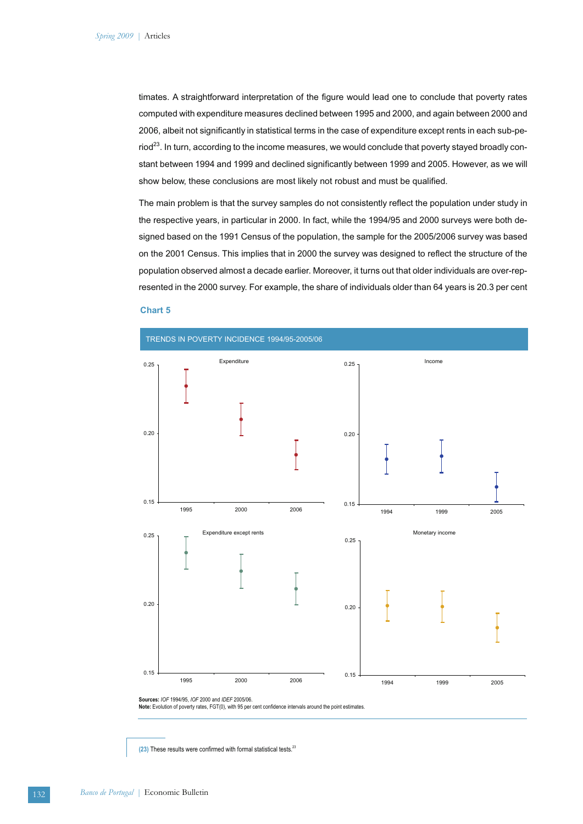timates. A straightforward interpretation of the figure would lead one to conclude that poverty rates computed with expenditure measures declined between 1995 and 2000, and again between 2000 and 2006, albeit not significantly in statistical terms in the case of expenditure except rents in each sub-pe- $\text{riod}^{23}$ . In turn, according to the income measures, we would conclude that poverty stayed broadly constant between 1994 and 1999 and declined significantly between 1999 and 2005. However, as we will show below, these conclusions are most likely not robust and must be qualified.

The main problem is that the survey samples do not consistently reflect the population under study in the respective years, in particular in 2000. In fact, while the 1994/95 and 2000 surveys were both designed based on the 1991 Census of the population, the sample for the 2005/2006 survey was based on the 2001 Census. This implies that in 2000 the survey was designed to reflect the structure of the population observed almost a decade earlier. Moreover, it turns out that older individuals are over-represented in the 2000 survey. For example, the share of individuals older than 64 years is 20.3 per cent

#### **Chart 5**



**Sources:** *IOF* 1994/95, *IOF* 2000 and *IDEF* 2005/06. **Note:** Evolution of poverty rates, FGT(0), with 95 per cent confidence intervals around the point estimates.

**(23)** These results were confirmed with formal statistical tests.23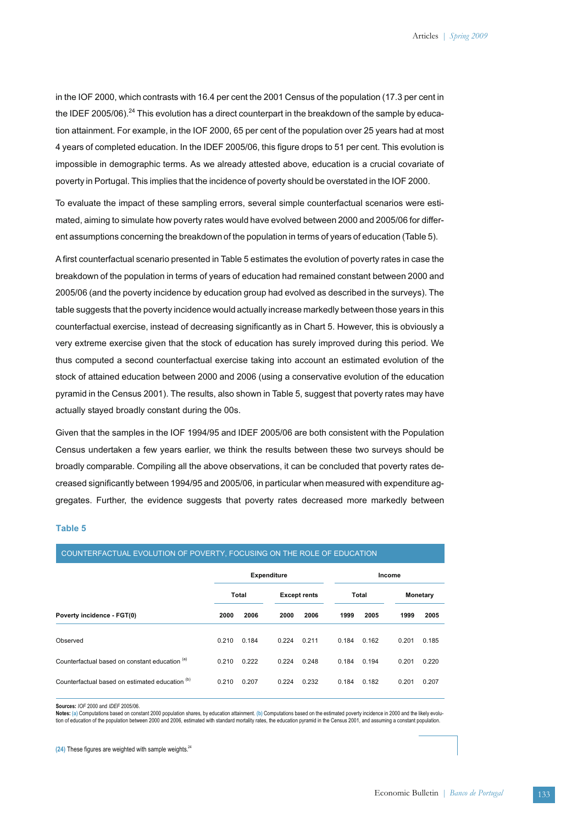in the IOF 2000, which contrasts with 16.4 per cent the 2001 Census of the population (17.3 per cent in the IDEF 2005/06).<sup>24</sup> This evolution has a direct counterpart in the breakdown of the sample by education attainment. For example, in the IOF 2000, 65 per cent of the population over 25 years had at most 4 years of completed education. In the IDEF 2005/06, this figure drops to 51 per cent. This evolution is impossible in demographic terms. As we already attested above, education is a crucial covariate of poverty in Portugal. This implies that the incidence of poverty should be overstated in the IOF 2000.

To evaluate the impact of these sampling errors, several simple counterfactual scenarios were estimated, aiming to simulate how poverty rates would have evolved between 2000 and 2005/06 for different assumptions concerning the breakdown of the population in terms of years of education (Table 5).

A first counterfactual scenario presented in Table 5 estimates the evolution of poverty rates in case the breakdown of the population in terms of years of education had remained constant between 2000 and 2005/06 (and the poverty incidence by education group had evolved as described in the surveys). The table suggests that the poverty incidence would actually increase markedly between those years in this counterfactual exercise, instead of decreasing significantly as in Chart 5. However, this is obviously a very extreme exercise given that the stock of education has surely improved during this period. We thus computed a second counterfactual exercise taking into account an estimated evolution of the stock of attained education between 2000 and 2006 (using a conservative evolution of the education pyramid in the Census 2001). The results, also shown in Table 5, suggest that poverty rates may have actually stayed broadly constant during the 00s.

Given that the samples in the IOF 1994/95 and IDEF 2005/06 are both consistent with the Population Census undertaken a few years earlier, we think the results between these two surveys should be broadly comparable. Compiling all the above observations, it can be concluded that poverty rates decreased significantly between 1994/95 and 2005/06, in particular when measured with expenditure aggregates. Further, the evidence suggests that poverty rates decreased more markedly between

### **Table 5**

| <b>COUNTERN ACTUAL EVOLUTION OF FOVERTLY FOCUUNU ON THE ROLE OF EDUCATION</b> |                    |       |                     |        |       |       |          |       |
|-------------------------------------------------------------------------------|--------------------|-------|---------------------|--------|-------|-------|----------|-------|
|                                                                               | <b>Expenditure</b> |       |                     | Income |       |       |          |       |
|                                                                               | <b>Total</b>       |       | <b>Except rents</b> |        | Total |       | Monetary |       |
| Poverty incidence - FGT(0)                                                    | 2000               | 2006  | 2000                | 2006   | 1999  | 2005  | 1999     | 2005  |
| Observed                                                                      | 0.210              | 0.184 | 0.224               | 0.211  | 0.184 | 0.162 | 0.201    | 0.185 |
| Counterfactual based on constant education (a)                                | 0.210              | 0.222 | 0.224               | 0.248  | 0.184 | 0.194 | 0.201    | 0.220 |
| Counterfactual based on estimated education (b)                               | 0.210              | 0.207 | 0.224               | 0.232  | 0.184 | 0.182 | 0.201    | 0.207 |

COUNTERFACTUAL EVOLUTION OF POVERTY, FOCUSING ON THE ROLE OF EDUCATION

**Sources:** *IOF* 2000 and *IDEF* 2005/06.

**Notes: (a)** Computations based on constant 2000 population shares, by education attainment. **(b)** Computations based on the estimated poverty incidence in 2000 and the likely evolution of education of the population between 2000 and 2006, estimated with standard mortality rates, the education pyramid in the Census 2001, and assuming a constant population.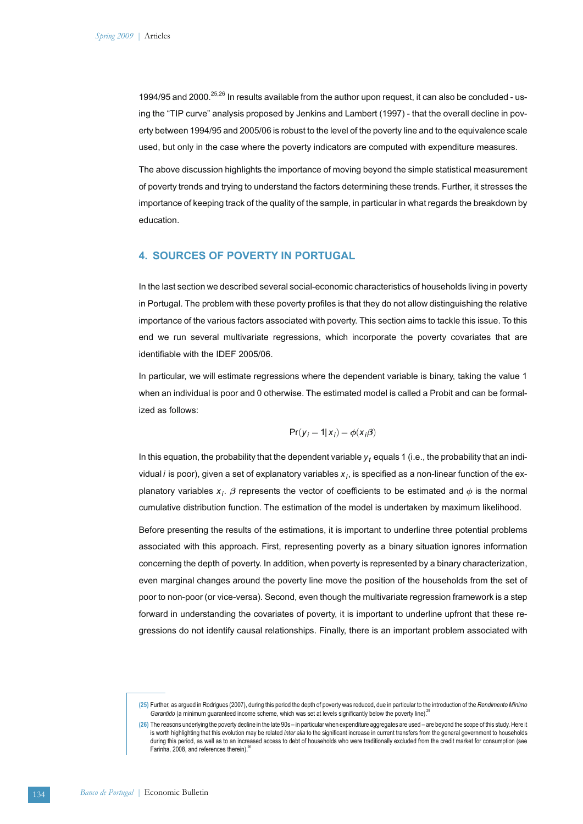1994/95 and 2000.<sup>25,26</sup> In results available from the author upon request, it can also be concluded - using the "TIP curve" analysis proposed by Jenkins and Lambert (1997) - that the overall decline in poverty between 1994/95 and 2005/06 is robust to the level of the poverty line and to the equivalence scale used, but only in the case where the poverty indicators are computed with expenditure measures.

The above discussion highlights the importance of moving beyond the simple statistical measurement of poverty trends and trying to understand the factors determining these trends. Further, it stresses the importance of keeping track of the quality of the sample, in particular in what regards the breakdown by education.

### **4. SOURCES OF POVERTY IN PORTUGAL**

In the last section we described several social-economic characteristics of households living in poverty in Portugal. The problem with these poverty profiles is that they do not allow distinguishing the relative importance of the various factors associated with poverty. This section aims to tackle this issue. To this end we run several multivariate regressions, which incorporate the poverty covariates that are identifiable with the IDEF 2005/06.

In particular, we will estimate regressions where the dependent variable is binary, taking the value 1 when an individual is poor and 0 otherwise. The estimated model is called a Probit and can be formalized as follows:

$$
Pr(y_i = 1 | x_i) = \phi(x_i \beta)
$$

In this equation, the probability that the dependent variable  $y_t$  equals 1 (i.e., the probability that an individual *i* is poor), given a set of explanatory variables *xi* , is specified as a non-linear function of the explanatory variables  $x_j$ .  $\beta$  represents the vector of coefficients to be estimated and  $\phi$  is the normal cumulative distribution function. The estimation of the model is undertaken by maximum likelihood.

Before presenting the results of the estimations, it is important to underline three potential problems associated with this approach. First, representing poverty as a binary situation ignores information concerning the depth of poverty. In addition, when poverty is represented by a binary characterization, even marginal changes around the poverty line move the position of the households from the set of poor to non-poor (or vice-versa). Second, even though the multivariate regression framework is a step forward in understanding the covariates of poverty, it is important to underline upfront that these regressions do not identify causal relationships. Finally, there is an important problem associated with

**<sup>(25)</sup>** Further, as argued in Rodrigues (2007), during this period the depth of poverty was reduced, due in particular to the introduction of the *Rendimento Mínimo Garantido* (a minimum guaranteed income scheme, which was set at levels significantly below the poverty line).<sup>2</sup>

**<sup>(26)</sup>** The reasons underlying the poverty decline in the late 90s – in particular when expenditure aggregates are used – are beyond the scope of this study. Here it is worth highlighting that this evolution may be related *inter alia* to the significant increase in current transfers from the general government to households during this period, as well as to an increased access to debt of households who were traditionally excluded from the credit market for consumption (see Farinha, 2008, and references therein).<sup>26</sup>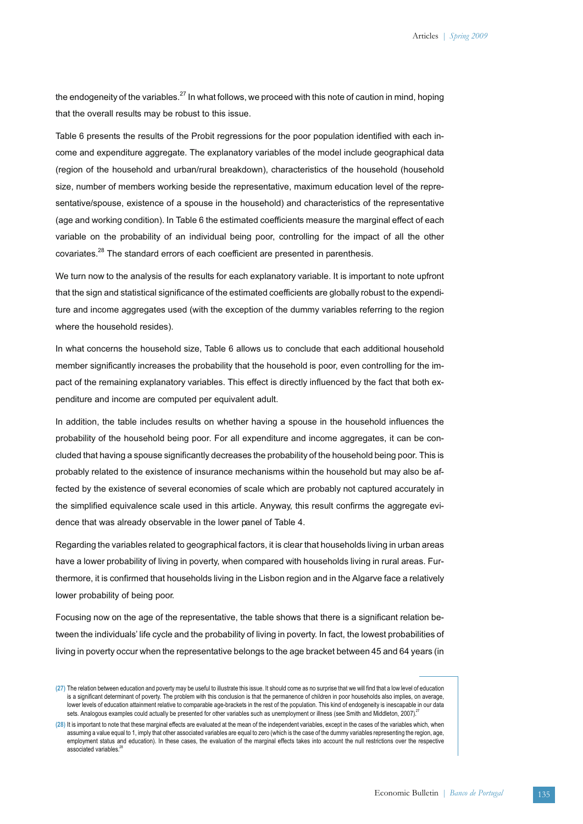the endogeneity of the variables.<sup>27</sup> In what follows, we proceed with this note of caution in mind, hoping that the overall results may be robust to this issue.

Table 6 presents the results of the Probit regressions for the poor population identified with each income and expenditure aggregate. The explanatory variables of the model include geographical data (region of the household and urban/rural breakdown), characteristics of the household (household size, number of members working beside the representative, maximum education level of the representative/spouse, existence of a spouse in the household) and characteristics of the representative (age and working condition). In Table 6 the estimated coefficients measure the marginal effect of each variable on the probability of an individual being poor, controlling for the impact of all the other covariates.<sup>28</sup> The standard errors of each coefficient are presented in parenthesis.

We turn now to the analysis of the results for each explanatory variable. It is important to note upfront that the sign and statistical significance of the estimated coefficients are globally robust to the expenditure and income aggregates used (with the exception of the dummy variables referring to the region where the household resides).

In what concerns the household size, Table 6 allows us to conclude that each additional household member significantly increases the probability that the household is poor, even controlling for the impact of the remaining explanatory variables. This effect is directly influenced by the fact that both expenditure and income are computed per equivalent adult.

In addition, the table includes results on whether having a spouse in the household influences the probability of the household being poor. For all expenditure and income aggregates, it can be concluded that having a spouse significantly decreases the probability of the household being poor. This is probably related to the existence of insurance mechanisms within the household but may also be affected by the existence of several economies of scale which are probably not captured accurately in the simplified equivalence scale used in this article. Anyway, this result confirms the aggregate evidence that was already observable in the lower panel of Table 4.

Regarding the variables related to geographical factors, it is clear that households living in urban areas have a lower probability of living in poverty, when compared with households living in rural areas. Furthermore, it is confirmed that households living in the Lisbon region and in the Algarve face a relatively lower probability of being poor.

Focusing now on the age of the representative, the table shows that there is a significant relation between the individuals' life cycle and the probability of living in poverty. In fact, the lowest probabilities of living in poverty occur when the representative belongs to the age bracket between 45 and 64 years (in

**<sup>(27)</sup>** The relation between education and poverty may be useful to illustrate this issue. It should come as no surprise that we will find that a low level of education is a significant determinant of poverty. The problem with this conclusion is that the permanence of children in poor households also implies, on average, lower levels of education attainment relative to comparable age-brackets in the rest of the population. This kind of endogeneity is inescapable in our data sets. Analogous examples could actually be presented for other variables such as unemployment or illness (see Smith and Middleton, 2007).<sup>27</sup>

**<sup>(28)</sup>** It is important to note that these marginal effects are evaluated at the mean of the independent variables, except in the cases of the variables which, when assuming a value equal to 1, imply that other associated variables are equal to zero (which is the case of the dummy variables representing the region, age, employment status and education). In these cases, the evaluation of the marginal effects takes into account the null restrictions over the respective associated variables.<sup>28</sup>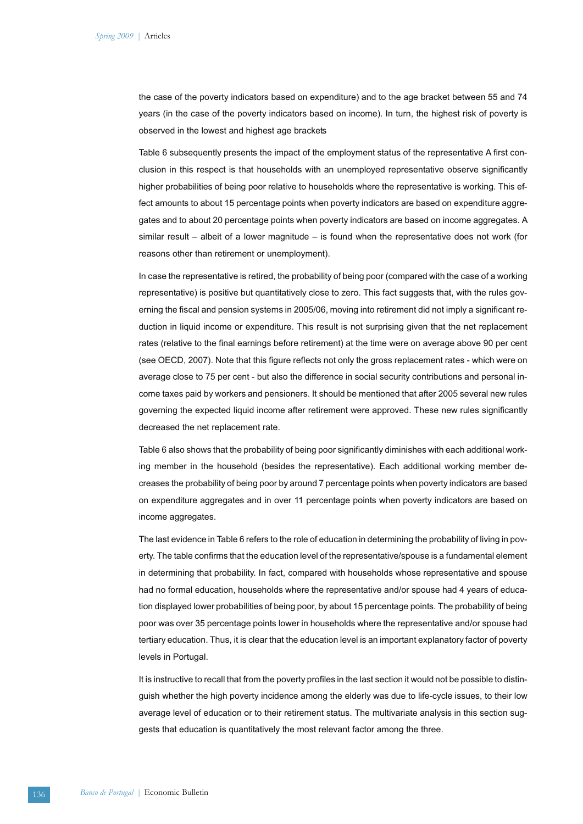the case of the poverty indicators based on expenditure) and to the age bracket between 55 and 74 years (in the case of the poverty indicators based on income). In turn, the highest risk of poverty is observed in the lowest and highest age brackets

Table 6 subsequently presents the impact of the employment status of the representative A first conclusion in this respect is that households with an unemployed representative observe significantly higher probabilities of being poor relative to households where the representative is working. This effect amounts to about 15 percentage points when poverty indicators are based on expenditure aggregates and to about 20 percentage points when poverty indicators are based on income aggregates. A similar result – albeit of a lower magnitude – is found when the representative does not work (for reasons other than retirement or unemployment).

In case the representative is retired, the probability of being poor (compared with the case of a working representative) is positive but quantitatively close to zero. This fact suggests that, with the rules governing the fiscal and pension systems in 2005/06, moving into retirement did not imply a significant reduction in liquid income or expenditure. This result is not surprising given that the net replacement rates (relative to the final earnings before retirement) at the time were on average above 90 per cent (see OECD, 2007). Note that this figure reflects not only the gross replacement rates - which were on average close to 75 per cent - but also the difference in social security contributions and personal income taxes paid by workers and pensioners. It should be mentioned that after 2005 several new rules governing the expected liquid income after retirement were approved. These new rules significantly decreased the net replacement rate.

Table 6 also shows that the probability of being poor significantly diminishes with each additional working member in the household (besides the representative). Each additional working member decreases the probability of being poor by around 7 percentage points when poverty indicators are based on expenditure aggregates and in over 11 percentage points when poverty indicators are based on income aggregates.

The last evidence in Table 6 refers to the role of education in determining the probability of living in poverty. The table confirms that the education level of the representative/spouse is a fundamental element in determining that probability. In fact, compared with households whose representative and spouse had no formal education, households where the representative and/or spouse had 4 years of education displayed lower probabilities of being poor, by about 15 percentage points. The probability of being poor was over 35 percentage points lower in households where the representative and/or spouse had tertiary education. Thus, it is clear that the education level is an important explanatory factor of poverty levels in Portugal.

It is instructive to recall that from the poverty profiles in the last section it would not be possible to distinguish whether the high poverty incidence among the elderly was due to life-cycle issues, to their low average level of education or to their retirement status. The multivariate analysis in this section suggests that education is quantitatively the most relevant factor among the three.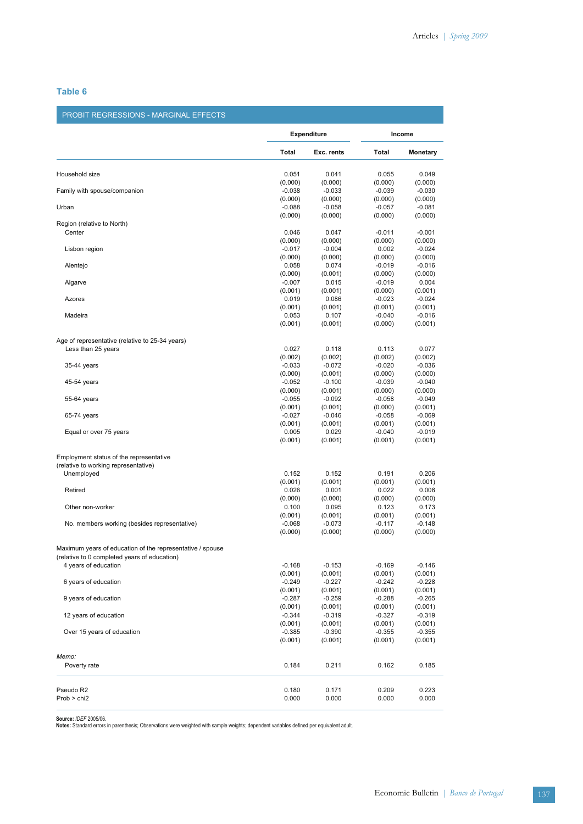# **Table 6**

## PROBIT REGRESSIONS - MARGINAL EFFECTS

|                                                                                                           |                     | <b>Expenditure</b>  |                     | Income              |  |  |
|-----------------------------------------------------------------------------------------------------------|---------------------|---------------------|---------------------|---------------------|--|--|
|                                                                                                           | <b>Total</b>        | Exc. rents          | Total               | <b>Monetary</b>     |  |  |
| Household size                                                                                            | 0.051               | 0.041               | 0.055               | 0.049               |  |  |
| Family with spouse/companion                                                                              | (0.000)<br>$-0.038$ | (0.000)<br>$-0.033$ | (0.000)<br>$-0.039$ | (0.000)<br>$-0.030$ |  |  |
| Urban                                                                                                     | (0.000)<br>$-0.088$ | (0.000)<br>$-0.058$ | (0.000)<br>$-0.057$ | (0.000)<br>$-0.081$ |  |  |
| Region (relative to North)                                                                                | (0.000)             | (0.000)             | (0.000)             | (0.000)             |  |  |
| Center                                                                                                    | 0.046               | 0.047               | $-0.011$            | $-0.001$            |  |  |
|                                                                                                           | (0.000)             | (0.000)             | (0.000)             | (0.000)             |  |  |
| Lisbon region                                                                                             | $-0.017$<br>(0.000) | $-0.004$<br>(0.000) | 0.002<br>(0.000)    | $-0.024$<br>(0.000) |  |  |
| Alentejo                                                                                                  | 0.058               | 0.074               | $-0.019$            | $-0.016$            |  |  |
|                                                                                                           | (0.000)             | (0.001)             | (0.000)             | (0.000)             |  |  |
| Algarve                                                                                                   | $-0.007$            | 0.015               | $-0.019$            | 0.004               |  |  |
| Azores                                                                                                    | (0.001)<br>0.019    | (0.001)<br>0.086    | (0.000)<br>$-0.023$ | (0.001)<br>$-0.024$ |  |  |
|                                                                                                           | (0.001)             | (0.001)             | (0.001)             | (0.001)             |  |  |
| Madeira                                                                                                   | 0.053               | 0.107               | $-0.040$            | $-0.016$            |  |  |
|                                                                                                           | (0.001)             | (0.001)             | (0.000)             | (0.001)             |  |  |
| Age of representative (relative to 25-34 years)                                                           |                     |                     |                     |                     |  |  |
| Less than 25 years                                                                                        | 0.027               | 0.118               | 0.113               | 0.077               |  |  |
|                                                                                                           | (0.002)<br>$-0.033$ | (0.002)<br>$-0.072$ | (0.002)             | (0.002)             |  |  |
| 35-44 years                                                                                               | (0.000)             | (0.001)             | $-0.020$<br>(0.000) | $-0.036$<br>(0.000) |  |  |
| 45-54 years                                                                                               | $-0.052$            | $-0.100$            | $-0.039$            | $-0.040$            |  |  |
|                                                                                                           | (0.000)             | (0.001)             | (0.000)             | (0.000)             |  |  |
| 55-64 years                                                                                               | $-0.055$            | $-0.092$            | $-0.058$            | $-0.049$            |  |  |
|                                                                                                           | (0.001)             | (0.001)             | (0.000)             | (0.001)             |  |  |
| 65-74 years                                                                                               | $-0.027$<br>(0.001) | $-0.046$<br>(0.001) | $-0.058$<br>(0.001) | $-0.069$<br>(0.001) |  |  |
| Equal or over 75 years                                                                                    | 0.005               | 0.029               | $-0.040$            | $-0.019$            |  |  |
|                                                                                                           | (0.001)             | (0.001)             | (0.001)             | (0.001)             |  |  |
| Employment status of the representative                                                                   |                     |                     |                     |                     |  |  |
| (relative to working representative)                                                                      |                     |                     |                     |                     |  |  |
| Unemployed                                                                                                | 0.152               | 0.152               | 0.191               | 0.206               |  |  |
|                                                                                                           | (0.001)             | (0.001)             | (0.001)             | (0.001)             |  |  |
| Retired                                                                                                   | 0.026<br>(0.000)    | 0.001               | 0.022               | 0.008               |  |  |
| Other non-worker                                                                                          | 0.100               | (0.000)<br>0.095    | (0.000)<br>0.123    | (0.000)<br>0.173    |  |  |
|                                                                                                           | (0.001)             | (0.001)             | (0.001)             | (0.001)             |  |  |
| No. members working (besides representative)                                                              | $-0.068$            | $-0.073$            | $-0.117$            | $-0.148$            |  |  |
|                                                                                                           | (0.000)             | (0.000)             | (0.000)             | (0.000)             |  |  |
| Maximum years of education of the representative / spouse<br>(relative to 0 completed years of education) |                     |                     |                     |                     |  |  |
| 4 years of education                                                                                      | $-0.168$            | $-0.153$            | $-0.169$            | $-0.146$            |  |  |
|                                                                                                           | (0.001)             | (0.001)             | (0.001)             | (0.001)             |  |  |
| 6 years of education                                                                                      | $-0.249$            | $-0.227$            | $-0.242$            | $-0.228$            |  |  |
| 9 years of education                                                                                      | (0.001)<br>$-0.287$ | (0.001)<br>$-0.259$ | (0.001)<br>$-0.288$ | (0.001)<br>$-0.265$ |  |  |
|                                                                                                           | (0.001)             | (0.001)             | (0.001)             | (0.001)             |  |  |
| 12 years of education                                                                                     | $-0.344$            | $-0.319$            | $-0.327$            | $-0.319$            |  |  |
|                                                                                                           | (0.001)             | (0.001)             | (0.001)             | (0.001)             |  |  |
| Over 15 years of education                                                                                | $-0.385$<br>(0.001) | $-0.390$<br>(0.001) | $-0.355$<br>(0.001) | $-0.355$<br>(0.001) |  |  |
|                                                                                                           |                     |                     |                     |                     |  |  |
| Memo:                                                                                                     |                     |                     |                     |                     |  |  |
| Poverty rate                                                                                              | 0.184               | 0.211               | 0.162               | 0.185               |  |  |
|                                                                                                           |                     |                     |                     |                     |  |  |
| Pseudo R2<br>Prob > chi2                                                                                  | 0.180<br>0.000      | 0.171<br>0.000      | 0.209<br>0.000      | 0.223<br>0.000      |  |  |
|                                                                                                           |                     |                     |                     |                     |  |  |

**Source:** *IDEF* 2005/06. **Notes:** Standard errors in parenthesis; Observations were weighted with sample weights; dependent variables defined per equivalent adult.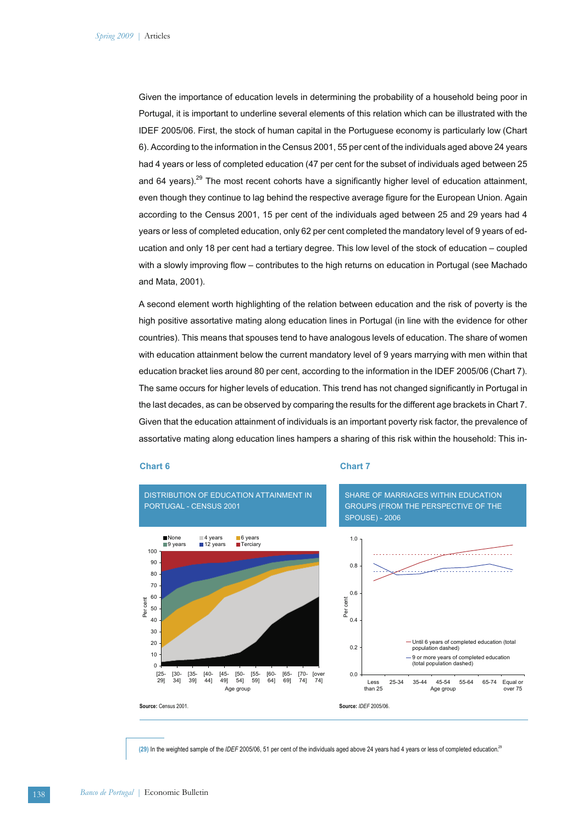Given the importance of education levels in determining the probability of a household being poor in Portugal, it is important to underline several elements of this relation which can be illustrated with the IDEF 2005/06. First, the stock of human capital in the Portuguese economy is particularly low (Chart 6). According to the information in the Census 2001, 55 per cent of the individuals aged above 24 years had 4 years or less of completed education (47 per cent for the subset of individuals aged between 25 and 64 years).<sup>29</sup> The most recent cohorts have a significantly higher level of education attainment, even though they continue to lag behind the respective average figure for the European Union. Again according to the Census 2001, 15 per cent of the individuals aged between 25 and 29 years had 4 years or less of completed education, only 62 per cent completed the mandatory level of 9 years of education and only 18 per cent had a tertiary degree. This low level of the stock of education – coupled with a slowly improving flow – contributes to the high returns on education in Portugal (see Machado and Mata, 2001).

A second element worth highlighting of the relation between education and the risk of poverty is the high positive assortative mating along education lines in Portugal (in line with the evidence for other countries). This means that spouses tend to have analogous levels of education. The share of women with education attainment below the current mandatory level of 9 years marrying with men within that education bracket lies around 80 per cent, according to the information in the IDEF 2005/06 (Chart 7). The same occurs for higher levels of education. This trend has not changed significantly in Portugal in the last decades, as can be observed by comparing the results for the different age brackets in Chart 7. Given that the education attainment of individuals is an important poverty risk factor, the prevalence of assortative mating along education lines hampers a sharing of this risk within the household: This in-

#### **Chart 6**

#### **Chart 7**



**(29)** In the weighted sample of the *IDEF* 2005/06, 51 per cent of the individuals aged above 24 years had 4 years or less of completed education.29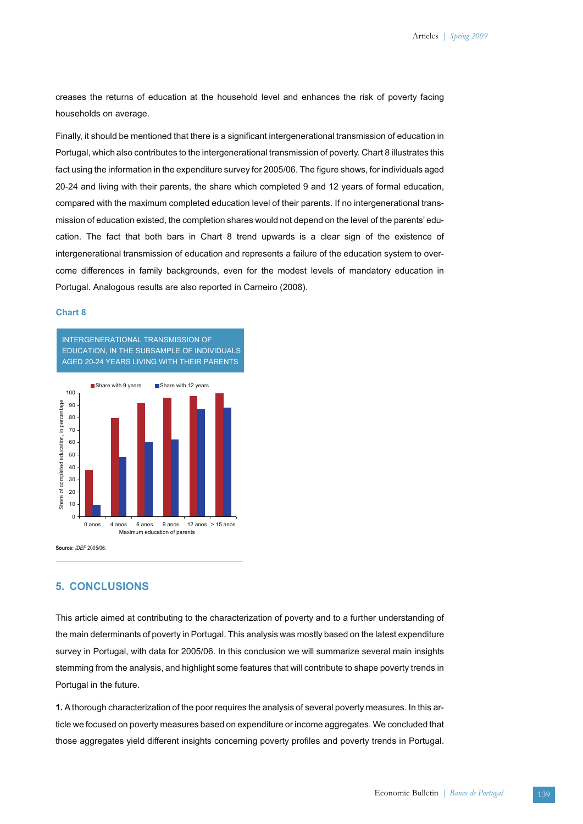creases the returns of education at the household level and enhances the risk of poverty facing households on average.

Finally, it should be mentioned that there is a significant intergenerational transmission of education in Portugal, which also contributes to the intergenerational transmission of poverty. Chart 8 illustrates this fact using the information in the expenditure survey for 2005/06. The figure shows, for individuals aged 20-24 and living with their parents, the share which completed 9 and 12 years of formal education, compared with the maximum completed education level of their parents. If no intergenerational transmission of education existed, the completion shares would not depend on the level of the parents' education. The fact that both bars in Chart 8 trend upwards is a clear sign of the existence of intergenerational transmission of education and represents a failure of the education system to overcome differences in family backgrounds, even for the modest levels of mandatory education in Portugal. Analogous results are also reported in Carneiro (2008).

#### **Chart 8**



# **5. CONCLUSIONS**

This article aimed at contributing to the characterization of poverty and to a further understanding of the main determinants of poverty in Portugal. This analysis was mostly based on the latest expenditure survey in Portugal, with data for 2005/06. In this conclusion we will summarize several main insights stemming from the analysis, and highlight some features that will contribute to shape poverty trends in Portugal in the future.

**1.** A thorough characterization of the poor requires the analysis of several poverty measures. In this article we focused on poverty measures based on expenditure or income aggregates. We concluded that those aggregates yield different insights concerning poverty profiles and poverty trends in Portugal.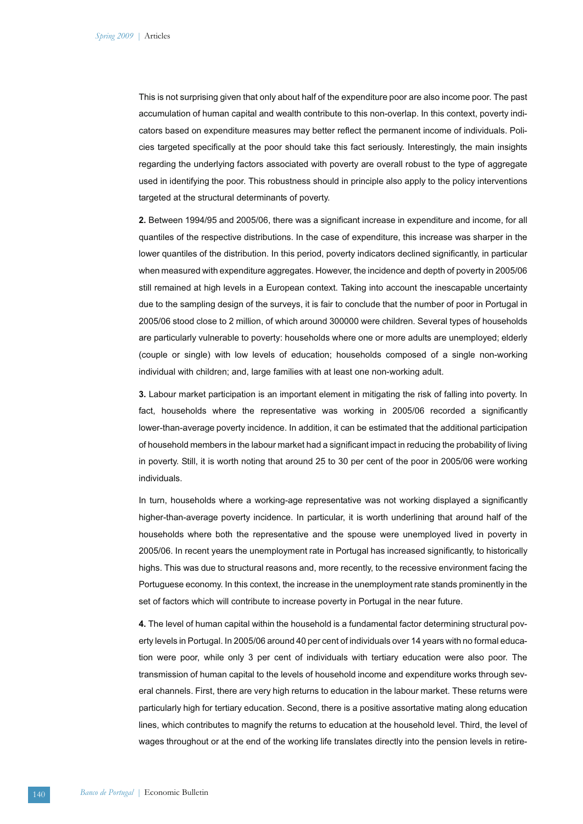This is not surprising given that only about half of the expenditure poor are also income poor. The past accumulation of human capital and wealth contribute to this non-overlap. In this context, poverty indicators based on expenditure measures may better reflect the permanent income of individuals. Policies targeted specifically at the poor should take this fact seriously. Interestingly, the main insights regarding the underlying factors associated with poverty are overall robust to the type of aggregate used in identifying the poor. This robustness should in principle also apply to the policy interventions targeted at the structural determinants of poverty.

**2.** Between 1994/95 and 2005/06, there was a significant increase in expenditure and income, for all quantiles of the respective distributions. In the case of expenditure, this increase was sharper in the lower quantiles of the distribution. In this period, poverty indicators declined significantly, in particular when measured with expenditure aggregates. However, the incidence and depth of poverty in 2005/06 still remained at high levels in a European context. Taking into account the inescapable uncertainty due to the sampling design of the surveys, it is fair to conclude that the number of poor in Portugal in 2005/06 stood close to 2 million, of which around 300000 were children. Several types of households are particularly vulnerable to poverty: households where one or more adults are unemployed; elderly (couple or single) with low levels of education; households composed of a single non-working individual with children; and, large families with at least one non-working adult.

**3.** Labour market participation is an important element in mitigating the risk of falling into poverty. In fact, households where the representative was working in 2005/06 recorded a significantly lower-than-average poverty incidence. In addition, it can be estimated that the additional participation of household members in the labour market had a significant impact in reducing the probability of living in poverty. Still, it is worth noting that around 25 to 30 per cent of the poor in 2005/06 were working individuals.

In turn, households where a working-age representative was not working displayed a significantly higher-than-average poverty incidence. In particular, it is worth underlining that around half of the households where both the representative and the spouse were unemployed lived in poverty in 2005/06. In recent years the unemployment rate in Portugal has increased significantly, to historically highs. This was due to structural reasons and, more recently, to the recessive environment facing the Portuguese economy. In this context, the increase in the unemployment rate stands prominently in the set of factors which will contribute to increase poverty in Portugal in the near future.

**4.** The level of human capital within the household is a fundamental factor determining structural poverty levels in Portugal. In 2005/06 around 40 per cent of individuals over 14 years with no formal education were poor, while only 3 per cent of individuals with tertiary education were also poor. The transmission of human capital to the levels of household income and expenditure works through several channels. First, there are very high returns to education in the labour market. These returns were particularly high for tertiary education. Second, there is a positive assortative mating along education lines, which contributes to magnify the returns to education at the household level. Third, the level of wages throughout or at the end of the working life translates directly into the pension levels in retire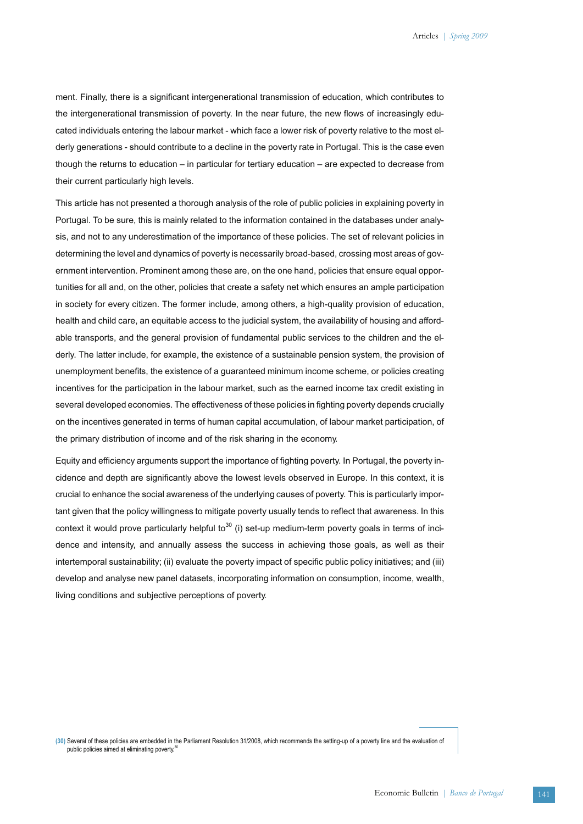ment. Finally, there is a significant intergenerational transmission of education, which contributes to the intergenerational transmission of poverty. In the near future, the new flows of increasingly educated individuals entering the labour market - which face a lower risk of poverty relative to the most elderly generations - should contribute to a decline in the poverty rate in Portugal. This is the case even though the returns to education – in particular for tertiary education – are expected to decrease from their current particularly high levels.

This article has not presented a thorough analysis of the role of public policies in explaining poverty in Portugal. To be sure, this is mainly related to the information contained in the databases under analysis, and not to any underestimation of the importance of these policies. The set of relevant policies in determining the level and dynamics of poverty is necessarily broad-based, crossing most areas of government intervention. Prominent among these are, on the one hand, policies that ensure equal opportunities for all and, on the other, policies that create a safety net which ensures an ample participation in society for every citizen. The former include, among others, a high-quality provision of education, health and child care, an equitable access to the judicial system, the availability of housing and affordable transports, and the general provision of fundamental public services to the children and the elderly. The latter include, for example, the existence of a sustainable pension system, the provision of unemployment benefits, the existence of a guaranteed minimum income scheme, or policies creating incentives for the participation in the labour market, such as the earned income tax credit existing in several developed economies. The effectiveness of these policies in fighting poverty depends crucially on the incentives generated in terms of human capital accumulation, of labour market participation, of the primary distribution of income and of the risk sharing in the economy.

Equity and efficiency arguments support the importance of fighting poverty. In Portugal, the poverty incidence and depth are significantly above the lowest levels observed in Europe. In this context, it is crucial to enhance the social awareness of the underlying causes of poverty. This is particularly important given that the policy willingness to mitigate poverty usually tends to reflect that awareness. In this context it would prove particularly helpful to $30$  (i) set-up medium-term poverty goals in terms of incidence and intensity, and annually assess the success in achieving those goals, as well as their intertemporal sustainability; (ii) evaluate the poverty impact of specific public policy initiatives; and (iii) develop and analyse new panel datasets, incorporating information on consumption, income, wealth, living conditions and subjective perceptions of poverty.

**(30)** Several of these policies are embedded in the Parliament Resolution 31/2008, which recommends the setting-up of a poverty line and the evaluation of public policies aimed at eliminating poverty.<sup>30</sup>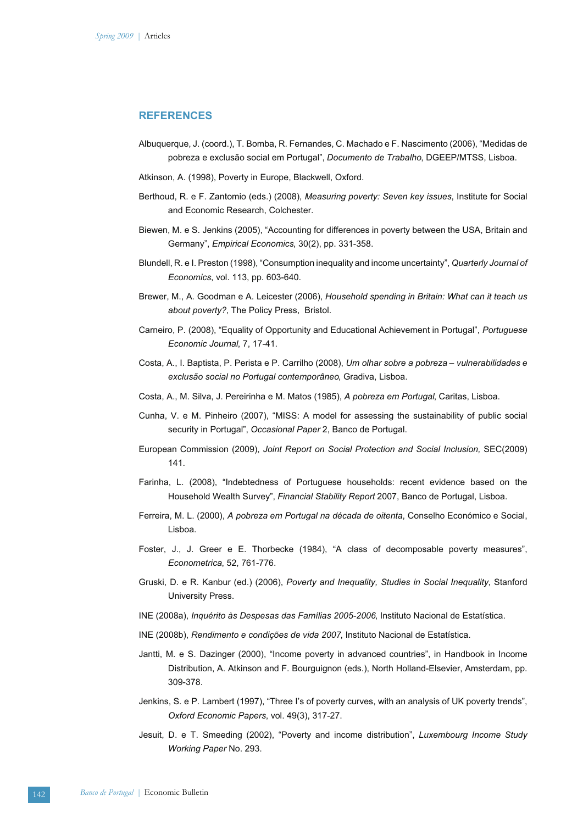## **REFERENCES**

- Albuquerque, J. (coord.), T. Bomba, R. Fernandes, C. Machado e F. Nascimento (2006), "Medidas de pobreza e exclusão social em Portugal", *Documento de Trabalho*, DGEEP/MTSS, Lisboa.
- Atkinson, A. (1998), Poverty in Europe, Blackwell, Oxford.
- Berthoud, R. e F. Zantomio (eds.) (2008), *Measuring poverty: Seven key issues*, Institute for Social and Economic Research, Colchester.
- Biewen, M. e S. Jenkins (2005), "Accounting for differences in poverty between the USA, Britain and Germany", *Empirical Economics*, 30(2), pp. 331-358.
- Blundell, R. e I. Preston (1998), "Consumption inequality and income uncertainty", *Quarterly Journal of Economics*, vol. 113, pp. 603-640.
- Brewer, M., A. Goodman e A. Leicester (2006), *Household spending in Britain: What can it teach us about poverty?*, The Policy Press, Bristol.
- Carneiro, P. (2008), "Equality of Opportunity and Educational Achievement in Portugal", *Portuguese Economic Journal*, 7, 17-41.
- Costa, A., I. Baptista, P. Perista e P. Carrilho (2008), *Um olhar sobre a pobreza vulnerabilidades e exclusão social no Portugal contemporâneo*, Gradiva, Lisboa.
- Costa, A., M. Silva, J. Pereirinha e M. Matos (1985), *A pobreza em Portugal*, Caritas, Lisboa.
- Cunha, V. e M. Pinheiro (2007), "MISS: A model for assessing the sustainability of public social security in Portugal", *Occasional Paper* 2, Banco de Portugal.
- European Commission (2009), *Joint Report on Social Protection and Social Inclusion,* SEC(2009) 141.
- Farinha, L. (2008), "Indebtedness of Portuguese households: recent evidence based on the Household Wealth Survey", *Financial Stability Report* 2007, Banco de Portugal, Lisboa.
- Ferreira, M. L. (2000), *A pobreza em Portugal na década de oitenta*, Conselho Económico e Social, Lisboa.
- Foster, J., J. Greer e E. Thorbecke (1984), "A class of decomposable poverty measures", *Econometrica*, 52, 761-776.
- Gruski, D. e R. Kanbur (ed.) (2006), *Poverty and Inequality, Studies in Social Inequality*, Stanford University Press.
- INE (2008a), *Inquérito às Despesas das Famílias 2005-2006*, Instituto Nacional de Estatística.
- INE (2008b), *Rendimento e condições de vida 2007*, Instituto Nacional de Estatística.
- Jantti, M. e S. Dazinger (2000), "Income poverty in advanced countries", in Handbook in Income Distribution, A. Atkinson and F. Bourguignon (eds.), North Holland-Elsevier, Amsterdam, pp. 309-378.
- Jenkins, S. e P. Lambert (1997), "Three I's of poverty curves, with an analysis of UK poverty trends", *Oxford Economic Papers*, vol. 49(3), 317-27.
- Jesuit, D. e T. Smeeding (2002), "Poverty and income distribution", *Luxembourg Income Study Working Paper* No. 293.